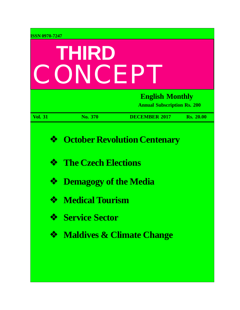| <b>ISSN 0970-7247</b><br>THIRD<br>CONCEP |                              |                                                              |                  |  |
|------------------------------------------|------------------------------|--------------------------------------------------------------|------------------|--|
|                                          |                              | <b>English Monthly</b><br><b>Annual Subscription Rs. 200</b> |                  |  |
| <b>Vol. 31</b>                           | No. 370                      | <b>DECEMBER 2017</b>                                         | <b>Rs. 20.00</b> |  |
| ❖                                        |                              | <b>October Revolution Centenary</b>                          |                  |  |
| ❖                                        | <b>The Czech Elections</b>   |                                                              |                  |  |
| ❖                                        | <b>Demagogy of the Media</b> |                                                              |                  |  |
|                                          | <b>Medical Tourism</b>       |                                                              |                  |  |
| ❖                                        | <b>Service Sector</b>        |                                                              |                  |  |
| ❖                                        |                              | <b>Maldives &amp; Climate Change</b>                         |                  |  |
|                                          |                              |                                                              |                  |  |
|                                          |                              |                                                              |                  |  |

in the contract of the contract of the contract of the contract of the contract of the contract of the contract of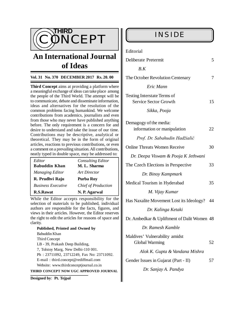

# **An International Journal of Ideas**

#### **Vol. 31 No. 370 DECEMBER 2017 Rs. 20. 00**

**Third Concept** aims at providing a platform where a meaningful exchange of ideas can take place among the people of the Third World. The attempt will be to communicate, debate and disseminate information, ideas and alternatives for the resolution of the common problems facing humankind. We welcome contributions from academics, journalists and even from those who may never have published anything before. The only requirement is a concern for and desire to understand and take the issue of our time. Contributions may be descriptive, analytical or theoretical. They may be in the form of original articles, reactions to previous contributions, or even a comment on a prevailing situation. All contributions, neatly typed in double space, may be addressed to:

| Editor                    | <b>Consulting Editor</b>   |  |  |
|---------------------------|----------------------------|--|--|
| <b>Babuddin Khan</b>      | M. L. Sharma               |  |  |
| Managing Editor           | Art Director               |  |  |
|                           | Purba Roy                  |  |  |
| R. Prudhvi Raju           |                            |  |  |
| <b>Business Executive</b> | <b>Chief of Production</b> |  |  |

While the Editor accepts responsibility for the selection of materials to be published, individual authors are responsible for the facts, figures, and views in their articles. However, the Editor reserves the right to edit the articles for reasons of space and clarity.

**Published, Printed and Owned by** Babuddin Khan Third Concept LB - 39, Prakash Deep Building, 7, Tolstoy Marg, New Delhi-110 001. Ph : 23711092, 23712249, Fax No: 23711092. E-mail : [third.concept@rediffmail.com](mailto:third.concept@rediffmail.com) Website: [www.thirdconceptjournal.co.in](http://www.thirdconceptjournal.co.in) **THIRD CONCEPT NOW UGC APPROVED JOURNAL**

**Designed by**: **Pt. Tejpal**

| Deliberate Pretermit               |   |
|------------------------------------|---|
| $R$ . $K$                          |   |
| The October Revolution Centenary   | 7 |
| Eric Mann                          |   |
| <b>Testing Interstate Terms of</b> |   |

| Testing interstate Terms of |    |
|-----------------------------|----|
| Service Sector Growth       | 15 |
|                             |    |

 *Sikka, Pooja*

| Demagogy of the media:<br>information or manipulation   | 22 |
|---------------------------------------------------------|----|
| Prof. Dr. Sabahudin Hadžialić                           |    |
| <b>Online Threats Women Receive</b>                     | 30 |
| Dr. Deepa Viswam & Pooja K Jethwani                     |    |
| The Czech Elections in Perspective                      | 33 |
| Dr. Binoy Kampmark                                      |    |
| Medical Tourism in Hyderabad                            | 35 |
| M. Vijay Kumar                                          |    |
| Has Naxalite Movement Lost its Ideology?                | 44 |
| Dr. Kalinga Ketaki                                      |    |
| Dr. Ambedkar & Upliftment of Dalit Women 48             |    |
| Dr. Ramesh Kamble                                       |    |
| Maldives' Vulnerability amidst<br><b>Global Warming</b> | 52 |
| Alok K. Gupta & Vandana Mishra                          |    |
| Gender Issues in Gujarat (Part - II)                    | 57 |
| Dr. Sanjay A. Pandya                                    |    |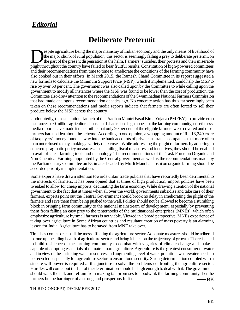# *Editorial*

# **Deliberate Pretermit**

Explite agriculture being the major mainstay of Indian economy and the only means of livelihood of the major chunk of rural population, this sector is seemingly falling a prey to deliberate pretermit on the part of the pre espite agriculture being the major mainstay of Indian economy and the only means of livelihood of the major chunk of rural population, this sector is seemingly falling a prey to deliberate pretermit on the part of the present dispensation at the helm. Farmers' suicides, their protests and their miserable and their recommendations from time to time to ameliorate the conditions of the farming community have also conked out in their efforts. In March 2015, the Ramesh Chand Committee in its report suggested a new formula to calculate the Minimum Support Price (MSP), which if implemented, could help the MSP to rise by over 50 per cent. The government was also called upon by the Committee to while calling upon the government to modify all instances where the MSP was found to be lower than the cost of production, the Committee also drew attention to the recommendations of the Swaminathan National Farmers Commission that had made analogous recommendation decades ago. No concrete action has thus far seemingly been taken on these recommendations and media reports indicate that farmers are often forced to sell their produce below the MSP across the country.

Undoubtedly, the ostentatious launch of the Pradhan Mantri Fasal Bima Yojana (PMFBY) to provide crop insurance to 90 million agricultural households had raised high hopes for the farming community; nonetheless, media reports have made it discernible that only 20 per cent of the eligible farmers were covered and most farmers had no idea about the scheme. According to one opinion, a whopping amount of Rs. 13,240 crore of taxpayers' money found its way into the bank accounts of private insurance companies that more often than not refused to pay, making a variety of excuses. While addressing the plight of farmers by adhering to concrete pragmatic policy measures also entailing fiscal measures and incentives, they should be enabled to avail of latest farming tools and technology. The recommendations of the Task Force on Organic and Non-Chemical Farming, appointed by the Central government as well as the recommendations made by the Parliamentary Committee on Estimates headed by Murli Manohar Joshi on organic farming should be accorded priority in implementation.

Some experts have drawn attention towards unfair trade policies that have reportedly been detrimental to the interests of farmers. It has been opined that at times of high production, import policies have been tweaked to allow for cheap imports, decimating the farm economy. While drawing attention of the national government to the fact that at times when all over the world, governments subsidise and take care of their farmers, experts point out the Central Government should brook no delay in ameliorating the plight of the farmers and save them from being pushed to the wall. Politics should not be allowed to become a stumbling block in bringing farm community to the national mainstream of development, especially by preventing them from falling an easy prey to the tenterhooks of the multinational enterprises (MNEs), which often emphasize agriculture by small farmers is not viable. Viewed in a broad perspective, MNEs experience of taking over agriculture in Some African countries and resultant creation of mass poverty is an alarming lesson for India. Agriculture has to be saved from MNE take over.

 BK Time has come to clean all the mess afflicting the agriculture sector. Adequate measures should be adhered to tone up the ailing health of agriculture sector and bring it back on the trajectory of growth. There is need to build resilience of the farming community to combat with vagaries of climate change and make it capable of adopting essentials of climate-smart agriculture. Agriculture is the greatest consumer of water and in view of the shrinking water resources and augmenting level of water pollution, wastewater needs to be recycled, especially for agriculture sector to ensure food security. Strong determination coupled with a sincere will-power is required at this juncture to solve the problems confronting the agriculture sector. Hurdles will come, but the bar of the determination should be high enough to deal with it. The government should walk the talk and refrain from making tall promises to hoodwink the farming community. Let the farmers be the harbinger of a strong and prosperous India.

THIRD CONCEPT, DECEMBER 2017 5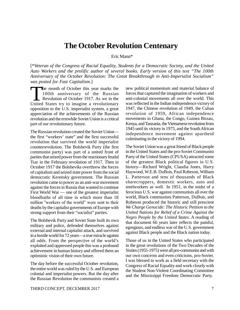# **The October Revolution Centenary**

Eric Mann\*

[\**Veteran of the Congress of Racial Equality, Students for a Democratic Society, and the United Auto Workers and the prolific author of several books. Early version of this text "The 100th Anniversary of the October Revolution: The Great Breakthrough in Anti-Imperialist Socialism" was posted for Fast Capitalism*.]

The month of October this year marks the 100th anniversary of the Russian<br>Revolution of October 1917. As we in the<br>United States try to imagine a revolutionary he month of October this year marks the 100th anniversary of the Russian Revolution of October 1917. As we in the opposition to the U.S. imperialist system, a great appreciation of the achievements of the Russian revolution and the erstwhile Soviet Union is a critical part of our revolutionary future.

The Russian revolution created the Soviet Union the first "workers' state" and the first successful revolution that survived the world imperialist counterrevolution. The Bolshevik Party (the first communist party) was part of a united front of parties that seized power from the reactionary feudal Tsar in the February revolution of 1917. Then in October 1917 the Bolsheviks overthrew the forces of capitalism and seized state power from the social democratic Kerensky government. The Russian revolution came to power as an anti-war movement against the forces in Russia that wanted to continue First World War — one of the greatest imperialist bloodbaths of all time in which more than 18 million "workers of the world" were sent to their deaths by the capitalist governments of Europe with strong support from their "socialist" parties.

The Bolshevik Party and Soviet State built its own military and police, defended themselves against external and internal capitalist attack, and survived in a hostile world for 72 years—a true miracle against all odds. From the perspective of the world's exploited and oppressed people this was a profound achievement in human history and offered them an optimistic vision of their own future.

The day before the successful October revolution, the entire world was ruled by the U.S. and European colonial and imperialist powers. But the day after the Russian Revolution the communists created a new political momentum and material balance of forces that captured the imagination of workers and anti-colonial movements all over the world. This was reflected in the Indian independence victory of 1947, the Chinese revolution of 1949, the Cuban revolution of 1959, African independence movements in Ghana, the Congo, Guinea Bissau, Kenya, and Tanzania, the Vietnamese revolution from 1945 until its victory in 1975, and the South African independence movement against apartheid culminating in the victory of 1994.

The Soviet Union was a great friend of Black people in the United States and the pro-Soviet Communist Party of the United States (CPUSA) attracted some of the greatest Black political figures in U.S. history—Richard Wright, Claudia Jones, Harry Haywood, W.E.B. DuBois, Paul Robeson, William L. Patterson and tens of thousands of Black sharecroppers, domestic workers, auto and steelworkers as well. In 1951, in the midst of a ferocious U.S. war against communists all over the world, Black communists Patterson, DuBois, and Robeson produced the historic and still prescient *We Charge Genocide: The Historic Petition to the United Nations for Relief of a Crime Against the Negro People by the United States*. A reading of that document 66 years later reflects the painful, egregious, and endless war of the U.S. government against Black people and the Black nation today.

Those of us in the United States who participated in the great revolutions of the Two Decades of the Sixties (1955-1975) were all pro-communist and with our own concerns and even criticisms, pro-Soviet. I was blessed to work as a field secretary with the Congress of Racial Equality and work closely with the Student Non-Violent Coordinating Committee and the Mississippi Freedom Democratic Party.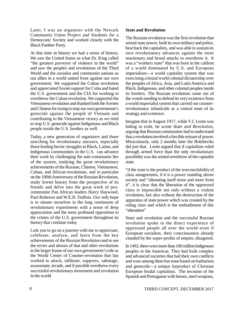Later, I was an organizer with the Newark Community Union Project and Students for a Democratic Society and worked closely with the Black Panther Party.

At that time in history we had a sense of history. We saw the United States as what Dr. King called "the greatest purveyor of violence in the world" and saw the peoples and revolutions of the Third World and the socialist and communist nations as our allies in a world united front against our own government. We supported the Cuban revolution and appreciated Soviet support for Cuba and hated the U.S. government and the CIA for working to overthrow the Cuban revolution. We supported the Vietnamese revolution and thanked both the Soviets and Chinese for trying to stop our own government's genocide against the people of Vietnam and contributing to the Vietnamese victory as we tried to stop U.S. genocide against Indigenous and Black people inside the U.S. borders as well.

Today, a new generation of organizers and those searching for revolutionary answers, especially those leading heroic struggles in Black, Latino, and Indigenous communities in the U.S. can advance their work by challenging the anti-communist lies of the system, studying the great revolutionary achievements of the Russian, Chinese, Vietnamese, Cuban, and African revolutions, and in particular on the 100th Anniversary of the Russian Revolution, study Soviet history from the perspective of its friends and delve into the great work of procommunist Pan African leaders Harry Haywood, Paul Robeson and W.E.B. DuBois. Our only hope is to situate ourselves in the long continuum of revolutionary experiments with a sense of deep appreciation and the most profound opposition to the crimes of the U.S. government throughout its history that continue today

I ask you to go on a journey with me to appreciate, celebrate, analyze, and learn from the key achievements of the Russian Revolution and to see the errors and abuses of that and other revolutions in the larger frame of our own government's role as the World Center of Counter-revolution that has worked to attack, infiltrate, suppress, sabotage, assassinate, invade, and if possible overthrow every successful revolutionary movement and revolution in the world

#### **State and Revolution**

The Russian revolution was the first revolution that seized state power, built its own military and police, beat back the capitalists, and was able to sustain its own revolutionary advances against the most reactionary and brutal attacks to overthrow it. It was a "workers state" that was born in the caldron of a world dominated by U.S. and European imperialism—a world capitalist system that was exercising a brutal world colonial dictatorship over the peoples of Africa, Asia, and Latin America and Black, Indigenous, and other colonial peoples inside its borders. The Russian revolution came out of the womb needing to defend its very existence from a world imperialist system that carried out counterrevolutionary infanticide as a central tenet of its strategy and existence.

Imagine that in August 1917, while V.I. Lenin was hiding in exile, he wrote *State and Revolution*, arguing that Russian communists had to understand that a revolution involved a forcible seizure of power. Miraculously, only 2 months later the Bolsheviks did just that. Lenin argued that if capitalism ruled through armed force than the only revolutionary possibility was the armed overthrow of the capitalist state.

"if the state is the product of the irreconcilability of class antagonisms, if it is a power standing above society and "alienating itself more and more from it", it is clear that the liberation of the oppressed class is impossible not only without a violent revolution, but also without the destruction of the apparatus of state power which was created by the ruling class and which is the embodiment of this "alienation"

State and revolution and the successful Russian revolution spoke to the direct experience of oppressed people all over the world–even if European socialists, their consciousness already clouded by the super-profits of empire, disagreed.

In 1492, there were more than 100 million Indigenous peoples in the Americas. They had built complex and advanced societies that had their own conflicts and wars among them but none based on barbarism and genocide—a unique byproduct of Christian European feudal capitalism. The invasion of the Spanish and Portuguese with horses, steel weapons,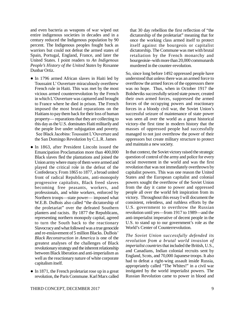and even bacteria as weapons of war wiped out entire indigenous societies in decades and in a century reduced the Indigenous population by 90 percent. The Indigenous peoples fought back as warriors but could not defeat the armed states of Spain, Portugal, England, France, and later the United States. I point readers to *An Indigenous People's History of the United States* by Roxanne Dunbar Ortiz.

- In 1796 armed African slaves in Haiti led by Toussaint L' Ouverture miraculously overthrew French rule in Haiti. This was met by the most vicious armed counterrevolution by the French in which L'Ouverture was captured and brought to France where he died in prison. The French imposed the most brutal reparations on the Haitians to pay them back for their loss of human property— reparations that they are collecting to this day as the U.S. dominates Haiti militarily and the people live under subjugation and poverty. See Black Jacobins: Toussaint L'Ouverture and the San Domingo Revolution by C.L.R. James
- In 1863, after President Lincoln issued the Emancipation Proclamation more than 400,000 Black slaves fled the plantations and joined the Union army where many of them were armed and played the critical role in the defeat of the Confederacy. From 1865 to 1877, a broad united front of radical Republicans, anti-monopoly progressive capitalists, Black freed slaves becoming free peasants, workers, and professionals, and white workers, enforced by Northern troops—state power— imposed what W.E.B. DuBois also called "the dictatorship of the proletariat" over the defeated Southern planters and racists. By 1877 the Republicans, representing northern monopoly capital, agreed to turn the South back to the reactionary Slavocracy and what followed was a true genocide and re-enslavement of 5 million Blacks. DuBois' *Black Reconstruction in America* is one of the greatest analyses of the challenges of Black revolutionary strategy and the inherent relationship between Black liberation and anti-imperialism as well as the reactionary nature of white corporate capitalism itself.
- $\bullet$  In 1871, the French proletariat rose up in a great revolution, the Paris Commune. Karl Marx called

that 30 day rebellion the first reflection of "the dictatorship of the proletariat" meaning that for once the working class armed itself to protect itself against the bourgeois or capitalist dictatorship. The Commune was met with brutal retaliation by the French monarchy and bourgeoisie–with more than 20,000 communards murdered in the counter-revolution.

So, since long before 1492 oppressed people have understood that unless there was an armed force to overthrow the armed forces of the oppressors there was no hope. Thus, when in October 1917 the Bolsheviks successfully seized state power, created their own armed forces, suppressed the armed forces of the occupying powers and reactionary forces in a bloody civil war, the Soviet Union's successful seizure of maintenance of state power was seen all over the world as a great historical victory–the first time in modern history that the masses of oppressed people had successfully managed to not just overthrow the power of their oppressors but create military structure to protect and maintain a new society.

In that context, the Soviet victory raised the strategic question of control of the army and police for every social movement in the world and was the first revolution that was not immediately overthrown by capitalist powers. This was one reason the United States and the European capitalist and colonial powers sought the overthrow of the Soviet Union from the day it came to power and oppressed people all over the world felt inspiration from its victory. Throughout this essay I will document the consistent, relentless, and ruthless efforts by the U.S. government to overthrow the Russian revolution until yes—from 1917 to 1989—and the anti-imperialist imperative of decent people in the U.S. to stand up to our government's role as the World's Center of Counterrevolution.

*The Soviet Union successfully defended its revolution from a brutal world invasion of imperialist countries* that included the British, U.S., and Canadians, Indian colonial recruits sent by England, Scots, and 70,000 Japanese troops. It also had to defeat a right-wing assault inside Russia, appropriately called "The Whites!" in a civil war instigated by the world imperialist powers. The Russian Revolution came to power in blood and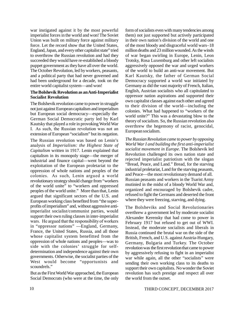war instigated against it by the most powerful imperialist forces in the world and won! The Soviet Union was built on military force against military force. Let the record show that the United States, England, Japan, and every other capitalist state" tried to overthrow the Russian revolution and had they succeeded they would have re-established a bloody puppet government as they have all over the world. The October Revolution, led by workers, peasants, and a political party that had never governed and had been underground for a decade, took on the entire world capitalist system—and won!

#### **The Bolshevik Revolution as an Anti-Imperialist Socialist Revolution**

The Bolshevik revolution came to power in struggle not just against European capitalism and imperialism but European social democracy—especially the German Social Democratic party led by Karl Kautsky that played a role in provoking World War I. As such, the Russian revolution was not an extension of European "socialism" but its negation.

The Russian revolution was based on Lenin's analysis of *Imperialism: the Highest State of Capitalism* written in 1917. Lenin explained that capitalism in its monopoly stage—the merger of industrial and finance capital—went beyond the exploitation of the European proletariat to the oppression of whole nations and peoples of the colonies. As such, Lenin argued a world revolutionary strategy should change from "workers of the world unite" to "workers and oppressed peoples of the world unite." More than that, Lenin argued that significant sectors of the U.S. and European working class benefited from "the superprofits of imperialism" and, without aggressive antiimperialist socialist/communist parties, would support their own ruling classes in inter-imperialist wars. He argued that the responsibility of workers in "oppressor nations" —England, Germany, France, the United States, Russia, and all those whose capitalist system benefitted from the oppression of whole nations and peoples—was to side with the colonies' struggle for selfdetermination and independence against their own governments. Otherwise, the socialist parties of the West would become "opportunists and scoundrels."

But as the First World War approached, the European Social Democrats (who were at the time, the only

form of socialists even with many tendencies among them) not just supported but actively participated in their own nation's division of the world and one of the most bloody and disgraceful world wars–18 million deaths and 23 million wounded. As the winds of war began swirling in Europe, Lenin, Leon Trotsky, Rosa Luxemburg and other left socialists aggressively opposed the war and urged workers of the world to build an anti-war movement. But Karl Kautsky, the father of German Social Democracy supported a world war initiated by Germany as did the vast majority of French, Italian, English, Austrian socialists who all capitulated to oppressor nation aspirations and supported their own capitalist classes against each other and agreed to their division of the world—including the colonies. What had happened to "workers of the world unite?" This was a devastating blow to the theory of socialism. So, the Russian revolution also overthrew the hegemony of racist, genocidal, European socialism.

*The Russian Revolution came to power by opposing World War I and building the first anti-imperialist socialist movement in Europe*. The Bolshevik led Revolution challenged its own nation state and rejected imperialist patriotism with the slogan "Bread, Peace, and Land." Bread, for the starving industrial proletariat, Land for the starving peasants, and Peace—the most revolutionary demand of all. Russian peasants and workers in the Tsarist Army mutinied in the midst of a bloody World War and, organized and encouraged by Bolshevik cadre, refused to fight the Germans and deserted the front where they were freezing, starving, and dying.

The Bolsheviks and Social Revolutionaries overthrew a government led by moderate socialist Alexander Kerensky that had come to power in February 1917 but refused to get out of WWI. Instead, the moderate socialists and liberals in Russia continued the brutal war on the side of the British, French, and U.S. against Austria-Hungary, Germany, Bulgaria and Turkey. The October revolution was the first revolution that came to power by aggressively refusing to fight in an imperialist war while again, all the other "socialists" were sending their own working class to its deaths to support their own capitalists. No wonder the Soviet revolution has such prestige and respect all over the world from the outset.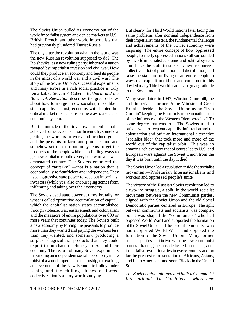The Soviet Union pulled its economy out of the world imperialist system and denied markets to U.S., British, French, and other world imperialists that had previously plundered Tsarist Russia

The day after the revolution what in the world was the new Russian revolution supposed to do? The Bolsheviks, as a new ruling party, inherited a nation ravaged by imperialist invasion and civil war. How could they produce an economy and feed its people in the midst of a world war and a civil war? The story of the Soviet Union's successful experiments and many errors in a rich social practice is truly remarkable. Steven F. Cohen's *Bukharin and the Bolshevik Revolution* describes the great debates about how to merge a new socialist, more like a state capitalist at first, economy with limited but critical market mechanisms on the way to a socialist economic system.

But the miracle of the Soviet experiment is that it achieved some level of self-sufficiency by somehow getting the workers to work and produce goods and the peasants to farm and produce food and somehow set up distribution systems to get the products to the people while also finding ways to get new capital to rebuild a very backward and wardevastated country. The Soviets embraced the concept of "autarky" —that is a nation that is economically self-sufficient and independent. They used aggressive state power to keep out imperialist investors (while yes, also encouraging some) from infiltrating and taking over their economy.

The Soviets used state power at times brutally for what is called "primitive accumulation of capital" which the capitalist nation states accomplished through violence, war, enslavement, and colonialism and the massacre of entire populations over 600 or more years that continues today. The Soviets built a new economy by forcing the peasants to produce more than they wanted and paying the workers less than they wanted, and somehow producing a surplus of agricultural products that they could export to purchase machinery to expand their economy. The record of many Soviet experiments in building an independent socialist economy in the midst of a world imperialist dictatorship, the exciting achievements of the New Economic Policy under Lenin, and the chilling abuses of forced collectivization is a story worth studying.

But clearly, for Third World nations later facing the same problems after nominal independence from their imperialist masters, the fundamental challenge and achievements of the Soviet economy were inspiring. The entire concept of how oppressed people, formerly oppressed nations still surrounded by a world imperialist economic and political system, could use the state to seize its own resources, collective a lot of production and distribution, and raise the standard of living of an entire people in ways that capitalism did not and could not to this day led many Third World leaders to great gratitude to the Soviet model.

Many years later, in 1947, Winston Churchill, the arch-imperialist former Prime Minister of Great Britain, derided the Soviet Union as an "Iron Curtain" keeping the Eastern European nations out of the influence of the Western "democracies." To some degree that was true. The Soviets tried to build a wall to keep out capitalist infiltration and recolonization and built an international alternative "socialist bloc" that took more and more of the world out of the capitalist orbit. This was an amazing achievement that of course led to U.S. and European wars against the Soviet Union from the day it was born until the day it died.

The Soviet Union led a revolution inside the socialist movement—Proletarian Internationalism and workers and oppressed people's unite

The victory of the Russian Soviet revolution led to a two-line struggle, a split, in the world socialist movement between the new Communist parties, aligned with the Soviet Union and the old Social Democratic parties centered in Europe. The split between communists and socialists was complex but it was shaped the "communists" who had opposed World War I and supported the formation of the Soviet Union and the "social democrats" who had supported World War I and opposed the formation of the Soviet Union. Many former socialist parties split in two with the new communist parties attracting the most dedicated, anti-racist, antiimperialist revolutionaries in every country and by far the greatest representation of Africans, Asians, and Latin Americans and soon, Blacks in the United States.

*The Soviet Union initiated and built a Communist International—The Comintern— where new*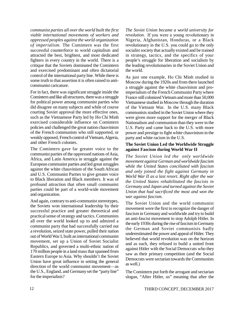*communist parties all over the world built the first viable international movements of workers and oppressed peoples against the world organization of imperialism.* The Comintern was the first successful counterforce to world capitalism and attracted the best, brightest, and most dedicated fighters in every country in the world. There is a critique that the Soviets dominated the Comintern and exercised predominant and often dictatorial control of the international party line. While there is some truth to that assertion it is often raised to anticommunist caricature.

For in fact, there was significant struggle inside the Comintern and like all structures, there was a struggle for political power among communist parties who did disagree on many subjects and while of course courting Soviet approval the more effective ones, such as the Vietnamese Party led by Ho Chi Minh exercised considerable influence on Comintern policies and challenged the great nation chauvinism of the French communists who still supported, or weakly opposed, French control of Vietnam, Algeria, and other French colonies.

The Comintern gave far greater voice to the communist parties of the oppressed nations of Asia, Africa, and Latin America in struggle against the European communist parties and led great struggles against the white chauvinism of the South African and U.S. Communist Parties to give greater voice to Black liberation and Black members. It was of profound attraction that often small communist parties could be part of a world-wide movement and organization.

And again, contrary to anti-communist stereotypes, the Soviets won international leadership by their successful practice and greater theoretical and practical sense of strategy and tactics. Communists all over the world looked up to and admired a communist party that had successfully carried out a revolution, seized state power, pulled their nation out of World War I, built an international communist movement, set up a Union of Soviet Socialist Republics, and governed a multi-ethnic nation of 170 million people in a land mass that spanned from Eastern Europe to Asia. Why shouldn't the Soviet Union have great influence in setting the general direction of the world communist movement—as the U.S., England, and Germany set the "party line" for the imperialists?

*The Soviet Union became a world university for revolution*. If you were a young revolutionary in Nigeria, Afghanistan, Honduras, or a Black revolutionary in the U.S. you could go to the only socialist society that actually existed and be trained in strategy, tactics, and the specifics of your people's struggle for liberation and socialism by the leading revolutionaries in the Soviet Union and the world.

As just one example, Ho Chi Minh studied in Moscow during the 1920s and from there launched a struggle against the white chauvinism and proimperialism of the French Communist Party where France still colonized Vietnam and more than 50,000 Vietnamese studied in Moscow through the duration of the Vietnam War. In the U.S. many Black communists studied in the Soviet Union where they were given more support for the merger of Black Nationalism and communism than they were in the U.S. Party and came back to the U.S. with more power and prestige to fight white chauvinism in the party and white racism in the U.S.

#### **The Soviet Union Led the Worldwide Struggle against Fascism during World War II**

*The Soviet Union led the only worldwide movement against German and worldwide fascism while the United States conciliated with fascism and only joined the fight against Germany in World War II as a last resort. Right after the war the United States rehabilitated the fascists in Germany and Japan and turned against the Soviet Union that had sacrificed the most and won the war against fascism.*

The Soviet Union and the world communist movement were the first to recognize the danger of fascism in Germany and worldwide and try to build an anti-fascist movement to stop Adolph Hitler. In the early 1930s during the rise of fascism in Germany the German and Soviet communists badly underestimated the power and appeal of Hitler. They believed that world revolution was on the horizon and as such, they refused to build a united front against Hitler with the Social Democrats who they saw as their primary competition (and the Social Democrats were sectarian towards the Communists as well.)

The Comintern put forth the arrogant and sectarian slogan, "After Hitler, us" meaning that after the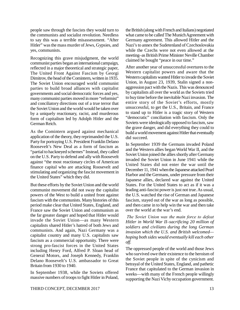people saw through the fascists they would turn to the communists and socialist revolution. Needless to say this was a terrible misassessment. "After Hitler" was the mass murder of Jews, Gypsies, and yes, communists.

Recognizing this grave misjudgment, the world communist parties began an international campaign, reflected in a major theoretical and strategic paper, The United Front Against Fascism by Georgi Dimitrov, the head of the Comintern, written in 1935. The Soviet Union encouraged world communist parties to build broad alliances with capitalist governments and social democratic forces and yes, many communist parties moved in more "reformist" and conciliatory directions out of a true terror that the Soviet Union and the world would be taken over by a uniquely reactionary, racist, and murderous form of capitalism led by Adolph Hitler and the German Reich.

As the Comintern argued against mechanical application of the theory, they reprimanded the U.S. Party for portraying U.S. President Franklin Delano Roosevelt's New Deal as a form of fascism as "partial to hackneyed schemes" Instead, they called on the U.S. Party to defend and ally with Roosevelt against "the most reactionary circles of American finance capital who are attacking Roosevelt and stimulating and organizing the fascist movement in the United States" which they did.

But these efforts by the Soviet Union and the world communist movement did not sway the capitalist powers of the West to build a united front against fascism with the communists. Many histories of this period make clear that United States, England, and France saw the Soviet Union and communism as the far greater danger and hoped that Hitler would invade the Soviet Union—as many Western capitalists shared Hitler's hatred of both Jews and communists. And again, Nazi Germany was a capitalist country and many U.S. capitalists saw fascism as a commercial opportunity. There were strong pro-fascist forces in the United States including Henry Ford, Alfred P. Sloan head of General Motors, and Joseph Kennedy, Franklin Delano Roosevelt's U.S. ambassador to Great Britain from 1930 to 1940.

In September 1938, while the Soviets offered massive numbers of troops to fight Hitler in Poland, the British (along with French and Italians) negotiated what came to be called The Munich Agreement with Germany agreement. This allowed Hitler and the Nazi's to annex the Sudetenland of Czechoslovakia while the Czechs were not even allowed at the meeting–as British Prime Minister Neville Chamber claimed he bought "peace in our time."

After another year of unsuccessful overtures to the Western capitalist powers and aware that the Western capitalists wanted Hitler to invade the Soviet Union, in August 23, 1939, Stalin signed a nonaggression pact with the Nazis. This was denounced by capitalists all over the world as the Soviets tried to buy time before the inevitable Nazi invasion. The entire story of the Soviet's efforts, mostly unsuccessful, to get the U.S., Britain, and France to stand up to Hitler is a tragic story of Western "democratic" conciliation with fascism. Only the Soviets were ideologically opposed to fascism, saw the grave danger, and did everything they could to build a world movement against Hitler that eventually did succeed.

In September 1939 the Germans invaded Poland and the Western allies began World War II, and the Soviet Union joined the allies shortly after Germany invaded the Soviet Union in June 1941 while the United States did not enter the war until the December 11, 1941 when the Japanese attacked Pearl Harbor and the Germans, under pressure from their Japanese allies, declared war against the United States. For the United States to act as if it was a leading anti-fascist power is just not true. As usual, the U.S. watched the rise of German and Japanese fascism, stayed out of the war as long as possible, and then came in to help win the war and then take over the world at the war's end.

 *The Soviet Union was the main force to defeat Hitler in World War II–sacrificing 20 million of soldiers and civilians during the long German invasion which the U.S. and British welcomed hoping both sides would eventually kill each other off.*

The oppressed people of the world and those Jews who survived owe their existence to the heroism of the Soviet people in spite of the cynicism and betrayal of the United States, England, and pathetic France that capitulated to the German invasion in weeks—with many of the French people willingly supporting the Nazi Vichy occupation government.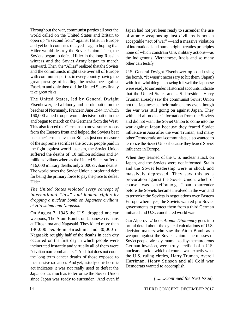Throughout the war, communist parties all over the world called on the United States and Britain to open up "a second front" against Hitler in Europe and yet both countries delayed—again hoping that Hitler would destroy the Soviet Union. Then, the Soviets began to defeat Hitler in the long Russian winters and the Soviet Army began to march eastward. Then, the "Allies" realized that the Soviets and the communists might take over all of Europe with communist parties in every country having the great prestige of leading the resistance against Fascism and only then did the United States finally take great risks.

The United States, led by General Dwight Eisenhower, led a bloody and heroic battle on the beaches of Normandy, France in June 1944, in which 160,000 allied troops won a decisive battle in the and began to march on the Germans from the West. This also forced the Germans to move some troops from the Eastern front and helped the Soviets beat back the German invasion. Still, as just one measure of the supreme sacrifices the Soviet people paid in the fight against world fascism, the Soviet Union suffered the deaths of 10 million soldiers and 14 million civilians whereas the United States suffered 416,000 military deaths only 2,000 civilian deaths. The world owes the Soviet Union a profound debt for being the primary force to pay the price to defeat Hitler.

*The United States violated every concept of international "law" and human rights by dropping a nuclear bomb on Japanese civilians at Hiroshima and Nagasaki.*

On August 7, 1945 the U.S. dropped nuclear weapons, The Atom Bomb, on Japanese civilians at Hiroshima and Nagasaki. They killed more than 140,000 people in Hiroshima and 80,000 in Nagasaki; roughly half of the deaths in each city occurred on the first day in which people were incinerated instantly and virtually all of them were "civilian non-combatants." And that does not count the long term cancer deaths of those exposed to the massive radiation. And yet, a study of his horrific act indicates it was not really used to defeat the Japanese as much as to terrorize the Soviet Union since Japan was ready to surrender. And even if Japan had not yet been ready to surrender the use of atomic weapons against civilians is not an acceptable "act of war" —and a massive violation of international and human rights treaties principles none of which constrain U.S. military actions—as the Indigenous, Vietnamese, Iraqis and so many other can testify.

U.S. General Dwight Eisenhower opposed using the bomb, "It wasn't necessary to hit them (Japan) with that awful thing.' knowing full well the Japanese were ready to surrender. Historical accounts indicate that the United States and U.S. President Harry Truman already saw the communist Soviet Union not the Japanese as their main enemy even though the war was still going on against Japan. They withheld all nuclear information from the Soviets and did not want the Soviet Union to come into the war against Japan because they feared Soviet influence in Asia after the war. Truman, and many other Democratic anti-communists, also wanted to terrorize the Soviet Union because they feared Soviet influence in Europe.

When they learned of the U.S. nuclear attack on Japan, and the Soviets were not informed, Stalin and the Soviet leadership were in shock and massively depressed. They saw this as a provocation against the Soviet Union, which of course it was—an effort to get Japan to surrender before the Soviets became involved in the war, and to terrorize the Soviets in negotiations over Eastern Europe where, yes, the Soviets wanted pro-Soviet governments to protect them from a third German initiated and U.S. conciliated world war.

Gar Alperovitz' book *Atomic Diplomacy* goes into brutal detail about the cynical calculations of U.S. decision-makers who saw the Atom Bomb as a weapon against the Soviet Union. The masses of Soviet people, already traumatized by the murderous German invasion, were truly terrified of a U.S. nuclear attack—which of course was exactly what the U.S. ruling circles, Harry Truman, Averell Harriman, Henry Stinson and all Cold war Democrats wanted to accomplish.

 *(........Contnued the Next Issue)*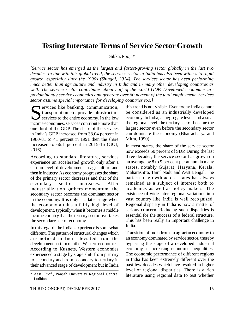# **Testing Interstate Terms of Service Sector Growth**

Sikka, Pooja\*

[*Service sector has emerged as the largest and fastest-growing sector globally in the last two decades. In line with this global trend, the services sector in India has also been witness to rapid growth, especially since the 1990s (Shingal, 2014). The services sector has been performing much better than agriculture and industry in India and in many other developing countries as well. The service sector contributes about half of the world GDP. Developed economics are predominantly service economies and generate over 60 percent of the total employment. Services sector assume special importance for developing countries too.]*

Survices like banking, communication, transportation etc. provide infrastructure services to the entire economy. In the low income economies, services contribute more than ervices like banking, communication, transportation etc. provide infrastructure services to the entire economy. In the low one third of the GDP. The share of the services in India's GDP increased from 38.04 percent in 1980-81 to 41 percent in 1991 then the share increased to 66.1 percent in 2015-16 (GOI, 2016).

According to standard literature, services experience an accelerated growth only after a certain level of development in agriculture and then in industry. As economy progresses the share of the primary sector decreases and that of the secondary sector increases. After industrialization gathers momentum, the secondary sector becomes the dominant sector in the economy. It is only at a later stage when the economy attains a fairly high level of development, typically when it becomes a middle income country that the tertiary sector overtakes the secondary sector economy.

In this regard, the Indian experience is somewhat different. The pattern of structural changes which are noticed in India deviated from the development pattern of other Western economies. According to Kuznets, Western economies experienced a stage by stage shift from primary to secondary and from secondary to tertiary in their advanced stage of development but in India this trend is not visible. Even today India cannot be considered as an industrially developed economy. In India, at aggregate level, and also at the regional level, the tertiary sector became the largest sector even before the secondary sector can dominate the economy (Bhattacharya and Mitra, 1990).

In most states, the share of the service sector now exceeds 50 percent of SDP. During the last three decades, the service sector has grown on an average by 8 to 9 per cent per annum in many states, notably Gujarat, Haryana, Kerala, Maharashtra, Tamil Nadu and West Bengal. The pattern of growth across states has always remained as a subject of interest both to academics as well as policy makers. The existence of wide inter-regional variations in a vast country like India is well recognized. Regional disparity in India is now a matter of serious concern. Reducing such disparities is essential for the success of a federal structure. This has been really an important challenge in India.

Transition of India from an agrarian economy to an economy dominated by service sector, thereby bypassing the stage of a developed industrial economy, is increasing economic inequalities. The economic performance of different regions in India has been extremely different over the past few decades which have resulted in higher level of regional disparities. There is a rich literature using regional data to test whether

<sup>\*</sup> Asst. Prof., Panjab University Regional Centre, Ludhiana.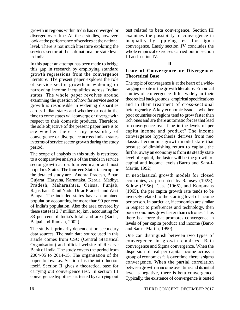growth in regions within India has converged or diverged over time. All these studies, however, look at the performance of services at the national level. There is not much literature exploring the services sector at the sub-national or state level in India.

In this paper an attempt has been made to bridge this gap in research by employing standard growth regressions from the convergence literature. The present paper explores the role of service sector growth in widening or narrowing income inequalities across Indian states. The whole paper revolves around examining the question of how far service sector growth is responsible in widening disparities across Indian states and whether or not in the time to come states will converge or diverge with respect to their domestic products. Therefore, the sole objective of the present paper here is to see whether there is any possibility of convergence or divergence across Indian states in terms of service sector growth during the study period.

The scope of analysis in this study is restricted to a comparative analysis of the trends in service sector growth across fourteen major and most populous States. The fourteen States taken up for the detailed study are ; Andhra Pradesh, Bihar, Gujarat, Haryana, Karnataka, Kerala, Madhya Pradesh, Maharashtra, Orissa, Punjab, Rajasthan, Tamil Nadu, Uttar Pradesh and West Bengal. The included states have a combined population accounting for more than 90 per cent of India's population. Also the area covered by these states is 2.7 million sq. km., accounting for 83 per cent of India's total land area (Sachs, Bajpai and Ramiah, 2002).

The study is primarily dependent on secondary data sources. The main data source used in this article comes from CSO (Central Statistical Organisation) and official website of Reserve Bank of India. The study covers the period from 2004-05 to 2014-15. The organisation of the paper follows as: Section I is the introduction itself. Section II gives a theoretical base for carrying out convergence test. In section III convergence hypothesis is tested by carrying out test related to beta convergence. Section III examines the possibility of convergence in inequality by applying test for sigma convergence. Lastly section 1V concludes the whole empirical exercises carried out in section III and section IV.

# **II**

#### **Issue of Convergence or Divergence: Theoretical Base**

The topic of convergence is at the heart of a wideranging debate in the growth literature. Empirical studies of convergence differ widely in their theoretical backgrounds, empirical specifications and in their treatment of cross-sectional heterogeneity. A key economic issue is whether poor countries or regions tend to grow faster than rich ones and are there automatic forces that lead to convergence over time in the levels of per capita income and product? The income convergence hypothesis derives from neo classical economic growth model state that because of diminishing return to capital, the further away an economy is from its steady state level of capital, the faster will be the growth of capital and income levels (Barro and Sara-i-Martin, 1992).

In neoclassical growth models for closed economies, as presented by Ramsey (1928), Solow (1956), Cass (1965), and Koopmans (1965), the per capita growth rate tends to be inversely related to the starting level of income per person. In particular, if economies are similar in respect to preferences and technology, then poor economies grow faster than rich ones. Thus there is a force that promotes convergence in levels of per capita product and income (Barro and Sara-i-Martin, 1990).

One can distinguish between two types of convergence in growth empirics: Beta convergence and Sigma convergence. When the dispersion of real per capita income across a group of economies falls over time, there is sigma convergence. When the partial correlation between growth in income over time and its initial level is negative, there is beta convergence. Typically, the existence of convergence is tested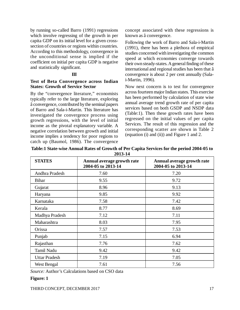by running so-called Barro (1991) regressions which involve regressing of the growth in per capita GDP on its initial level for a given crosssection of countries or regions within countries. According to this methodology, convergence in the unconditional sense is implied if the coefficient on initial per capita GDP is negative and statistically significant.

# **III**

#### **Test of Beta Convergence across Indian States: Growth of Service Sector**

By the "convergence literature," economists typically refer to the large literature, exploring â convergence, contributed by the seminal papers of Barro and Sala-i-Martin. This literature has investigated the convergence process using growth regressions, with the level of initial income as the pivotal explanatory variable. A negative correlation between growth and initial income implies a tendency for poor regions to catch up (Baumol, 1986). The convergence

concept associated with these regressions is known as â convergence.

Following the work of Barro and Sala-i-Martin (1991), there has been a plethora of empirical studies concerned with investigating the common speed at which economies converge towards their own steady-states. A general finding of these international and regional studies has been that â convergence is about 2 per cent annually (Salai-Martin, 1996).

Now next concern is to test for convergence across fourteen major Indian states. This exercise has been performed by calculation of state wise annual average trend growth rate of per capita services based on both GSDP and NSDP data (Table:1). Then these growth rates have been regressed on the initial values of per capita Services. The result of this regression and the corresponding scatter are shown in Table 2 (equation (i) and (ii)) and Figure 1 and 2.

| <b>STATES</b>        | Annual average growth rate<br>2004-05 to 2013-14 | Annual average growth rate<br>2004-05 to 2013-14 |
|----------------------|--------------------------------------------------|--------------------------------------------------|
| Andhra Pradesh       | 7.60                                             | 7.20                                             |
| <b>Bihar</b>         | 9.55                                             | 9.72                                             |
| Gujarat              | 8.96                                             | 9.13                                             |
| Haryana              | 9.85                                             | 9.92                                             |
| Karnataka            | 7.58                                             | 7.42                                             |
| Kerala               | 8.77                                             | 8.69                                             |
| Madhya Pradesh       | 7.12                                             | 7.11                                             |
| Maharashtra          | 8.03                                             | 7.95                                             |
| Orissa               | 7.57                                             | 7.53                                             |
| Punjab               | 7.15                                             | 6.94                                             |
| Rajasthan            | 7.76                                             | 7.62                                             |
| Tamil Nadu           | 9.42                                             | 9.42                                             |
| <b>Uttar Pradesh</b> | 7.19                                             | 7.05                                             |
| West Bengal          | 7.61                                             | 7.56                                             |

**Table:1 State-wise Annual Rates of Growth of Per Capita Services for the period 2004-05 to 2013-14**

*Source:* Author's Calculations based on CSO data

#### **Figure: 1**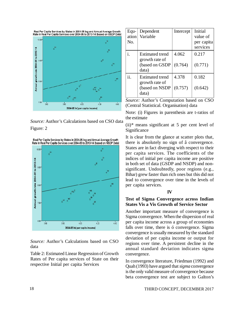

*Source:* Author's Calculations based on CSO data Figure: 2





*Source:* Author's Calculations based on CSO data

Table 2: Estimated Linear Regression of Growth Rates of Per capita services of State on their respective Initial per capita Services

| Equ-<br>ation<br>No. | Dependent<br>Variable                                               | Intercept        | Initial<br>value of<br>per capita<br>services |
|----------------------|---------------------------------------------------------------------|------------------|-----------------------------------------------|
| 1.                   | Estimated trend<br>growth rate of<br>(based on GSDP<br>data)        | 4.062<br>(0.764) | 0.217<br>(0.771)                              |
| ii.                  | <b>Estimated trend</b><br>growth rate of<br>(based on NSDP<br>data) | 4.378<br>(0.757) | 0.182<br>(0.642)                              |

*Source:* Author's Computation based on CSO (Central Statistical. Organisation) data

Note: (i) Figures in parenthesis are t-ratios of the estimate

 $(ii)*$  means significant at 5 per cent level of Significance

It is clear from the glance at scatter plots that, there is absolutely no sign of â convergence. States are in fact diverging with respect to their per capita services. The coefficients of the indices of initial per capita income are positive in both set of data (GSDP and NSDP) and nonsignificant. Undoubtedly, poor regions (e.g., Bihar) grew faster than rich ones but this did not lead to convergence over time in the levels of per capita services.

#### **IV**

#### **Test of Sigma Convergence across Indian States Vis a Vis Growth of Service Sector**

Another important measure of convergence is Sigma convergence. When the dispersion of real per capita income across a group of economies falls over time, there is ó convergence. Sigma convergence is usually measured by the standard deviation of per capita income or output for regions over time. A persistent decline in the annual standard deviation indicates sigma convergence.

In convergence literature, Friedman (1992) and Quah (1993) have argued that *sigma* convergence is the only valid measure of convergence because beta convergence test are subject to Galton's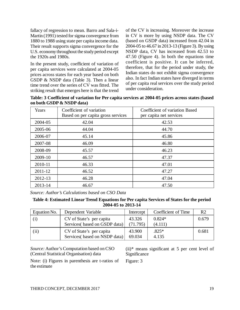fallacy of regression to mean. Barro and Sala-i-Martin (1991) tested for sigma convergence from 1880 to 1988 using state per capita income data. Their result supports sigma convergence for the U.S. economy throughout the study period except the 1920s and 1980s.

In the present study, coefficient of variation of per capita services were calculated at 2004-05 prices across states for each year based on both GSDP & NSDP data (Table 3). Then a linear time trend over the series of CV was fitted. The striking result that emerges here is that the trend of the CV is increasing. Moreover the increase in CV is more by using NSDP data. The CV (based on GSDP data) increased from 42.04 in 2004-05 to 46.67 in 2013-13 (Figure 3). By using NSDP data, CV has increased from 42.53 to 47.50 (Figure 4). In both the equations time coefficient is positive. It can be inferred, therefore, that for the period under study, the Indian states do not exhibit sigma convergence also. In fact Indian states have diverged in terms of per capita real services over the study period under consideration.

**Table: 3 Coefficient of variation for Per capita services at 2004-05 prices across states (based on both GSDP & NSDP data)**

| Years   | Coefficient of variation<br>Based on per capita gross services | Coefficient of variation Based<br>per capita net services |
|---------|----------------------------------------------------------------|-----------------------------------------------------------|
| 2004-05 | 42.04                                                          | 42.53                                                     |
| 2005-06 | 44.04                                                          | 44.70                                                     |
| 2006-07 | 45.14                                                          | 45.86                                                     |
| 2007-08 | 46.09                                                          | 46.80                                                     |
| 2008-09 | 45.57                                                          | 46.23                                                     |
| 2009-10 | 46.57                                                          | 47.37                                                     |
| 2010-11 | 46.33                                                          | 47.01                                                     |
| 2011-12 | 46.52                                                          | 47.27                                                     |
| 2012-13 | 46.28                                                          | 47.04                                                     |
| 2013-14 | 46.67                                                          | 47.50                                                     |

*Source: Author's Calculations based on CSO Data*

**Table 4: Estimated Linear Trend Equations for Per capita Services of States for the period 2004-05 to 2013-14**

| Equation No. | Dependent Variable                                        | Intercept          | Coefficient of Time | R <sub>2</sub> |
|--------------|-----------------------------------------------------------|--------------------|---------------------|----------------|
| (1)          | CV of State's per capita<br>Services (based on GSDP data) | 43.326<br>(71.795) | $0.824*$<br>(4.111) | 0.679          |
| (ii)         | CV of State's per capita<br>Services (based on NSDP data) | 43.900<br>69.034   | $.825*$<br>4.135    | 0.681          |

*Source:* Author's Computation based on CSO (Central Statistical Organisation) data

Note: (i) Figures in parenthesis are t-ratios of the estimate

 $(ii)*$  means significant at 5 per cent level of Significance

Figure: 3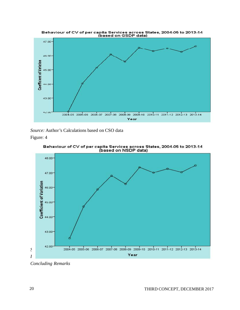

*Source:* Author's Calculations based on CSO data

Figure: 4



Behaviour of CV of per capita Services across States, 2004-05 to 2013-14<br>(based on NSDP data)

*Concluding Remarks*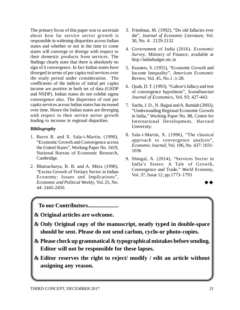The primary focus of this paper was to ascertain about how far service sector growth is responsible in widening disparities across Indian states and whether or not in the time to come states will converge or diverge with respect to their domestic products from services. The findings clearly state that there is absolutely no sign of â convergence. In fact Indian states have diverged in terms of per capita real services over the study period under consideration. The coefficients of the indices of initial per capita income are positive in both set of data (GSDP and NSDP). Indian states do not exhibit sigma convergence also. The dispersion of real per capita services across Indian states has increased over time. Hence the Indian states are diverging with respect to their service sector growth leading to increase in regional disparities.

# *Bibliography*

- 1. Barro R. and X. Sala-i-Martin, (1990), "Economic Growth and Convergence across the United States", Working Paper No. 3419, National Bureau of Economic Research, Cambridge.
- 2. Bhattacharya, B. B. and A. Mitra (1990), "Excess Growth of Tertiary Sector in Indian Economy: Issues and Implications", *Economic and Political Weekly*, Vol. 25, No. 44: 2445-2450.
- 3. Friedman, M. (1992), "Do old fallacies ever die", *Journal of Economic Literature*, Vol. 30, No. 4: 2129-2132
- 4. Government of India (2016). *Economic Survey*, Ministry of Finance, available at <http://indiabudget.nic.in>
- 5. Kuznets, S. (1955), "Economic Growth and Income Inequality", *American Economic Review*, Vol. 45, No.1 :1-28.
- 6. Quah, D. T. (1993), "Galton's fallacy and test of convergence hypothesis", *Scandinavian Journal of Economics*, Vol. 93: 427-443.
- 7. Sachs, J. D., N. Bajpai and A. Ramiah (2002), "Understanding Regional Economic Growth in India," Working Paper No. 88, Centre for International Development, Harvard University.
- 8. Sala-i-Martin, X. (1996), "The classical approach to convergence analysis", *Economic Journal*, Vol. 106, No. 437: 1031- 1036
- 9. Shingal, A. (2014), "Services Sector in India's States: A Tale of Growth, Convergence and Trade," *World Economy*, Vol. 37, Issue 12, pp.1773–1793

# **To our Contributors.....................**

**& Original articles are welcome.**

- **& Only Original copy of the manuscript, neatly typed in double-space should be sent. Please do not send carbon, cyclo-or photo-copies.**
- **& Please check up grammatical & typographical mistakes before sending. Editor will not be responsible for these lapses.**
- **& Editor reserves the right to reject/ modify / edit an article without assigning any reason.**

 $\rightarrow \rightarrow$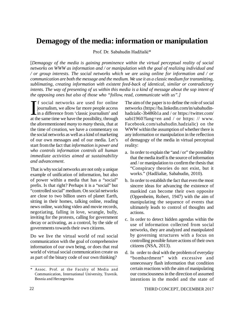# **Demagogy of the media: information or manipulation**

Prof. Dr. Sabahudin Hadžialić\*

[*Demagogy of the media is gaining prominence within the virtual perceptual reality of social networks on WWW as information and / or manipulation with the goal of realizing individual and / or group interests. The social networks which we are using online for information and / or communication are both the message and the medium. We use it as a classic medium for transmitting, sublimating, creating information with existent feed-back of identical, similar or contradictory intents. The way of presenting of us within this media is a kind of message about the sop intent of the opposing ones but also of those who "follow, read, communicate with us".]*

 $\prod_{\text{at th}}$ **The social networks are used for online** journalism, we allow far more people access in a difference from 'classic journalism' and at the same time we have the possibility, through the aforementioned *many to many* thesis, that at the time of creation, we have a commentary on the social networks as well as a kind of marketing of our own messages and of our media. Let's start from the fact that *information is power and who controls information controls all human immediate activities aimed at sustainability and advancement*.

That is why social networks are not only a unique example of unification of information, but also of power within a media that has a "social" prefix. Is that right? Perhaps it is a "social" but "controlled social" medium. On social networks are close to two billion users of planet Earth, sitting in their homes, talking online, reading news online, watching video and movie records, negotiating, falling in love, wrangle, bully, inviting for the protests, calling for government decay or activating, as a control, by the side of governments towards their own citizens.

Do we live the virtual world of real social communication with the goal of comprehensive information of our own being, or does that real world of virtual social communication create us as part of the binary code of our own thinking?

The aim of the paper is to define the role of social networks ([https://ba.linkedin.com/in/sabahudin](https://ba.linkedin.com/in/sabahudin-)hadzialic-3b486b1a and / or <https://twitter.com/> sabi1960?lang=en and / or https: // www. Facebook.com/sabahudin.hadzialic) on the WWW within the assumption of whether there is any information or manipulation in the reflection of demagogy of the media in virtual perceptual reality:

- a. In order to explain the "and / or" the possibility that the media itself is the source of information and / or manipulation to confirm the thesis that "Conspiracy theories do not exist, but it works." (Hadžialiæ, Sabahudin, 2010).
- b. In order to establish the fact that even the most sincere ideas for advancing the existence of mankind can become their own opposite (Oppenheim, Robert, 1947) with the aim of manipulating the sequence of events that ultimately leads to control of thoughts and actions.
- c. In order to detect hidden agendas within the use of information collected from social networks, they are analyzed and manipulated by governing structures with a focus on controlling possible future actions of their own citizens (NSA, 2013).
- d. In order to deal with the problem of everyday "bombardment" with excessive and unnecessary flash information that condition certain reactions with the aim of manipulating our consciousness in the direction of assumed intentions in the model and the state of

<sup>\*</sup> Assoc. Prof. at the Faculty of Media and Communication, International University, Travnik. Bosnia and Herzegovina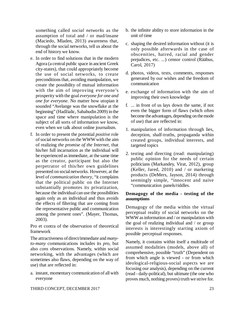something called *social networks* as the assumption of total and / or mad/insane (Maciedo, Mladen, 2013) awareness that, through the social networks, tell us about the end of history we know.

- e. In order to find solutions that in the modern Agora (a central public space in ancient Greek city-states), that could appropriately become the use of social networks, to create preconditions that, avoiding manipulation, we create the possibility of mutual information with the aim of improving everyone's prosperity with the goal *everyone for one and one for everyone.* No matter how utopian it sounded "Avelange was the snowflake at the beginning" (Hadžialic, Sabahudin 2009) in the space and time where manipulation is the subject of all sorts of information we know, even when we talk about online journalism.
- f. In order to present the potential *positive* role of social networks on the WWW with the aim of realizing *the promise of the Internet*, that his/her full incarnation as the individual will be experienced as immediate, at the same time as the creator, participant but also the perpetrator of this/her own guidelines presented on social networks. However, at the level of *communication theory*, "it complains that the political public on the Internet substantially promotes its privatization, because the individual can use the possibilities again only as an individual and thus avoids the effects of filtering that are coming from the representative public and communication among the present ones". (Mayer, Thomas, 2003).

Pro et contra of the observation of theoretical framework

The attractiveness of direct/immediate and *manyto-many* communications includes its *pro*, but also *cons* observations. Namely, within social networking, with the advantages (which are sometimes also flaws, depending on the way of use) that are reflected in:

a. instant, momentary communication of all with everyone

- b. the infinite ability to store information in the unit of time
- c. shaping the desired information without (it is only possible afterwards in the case of obscenities, hatred, racial and gender prejudices, etc. ...) censor control (Rääbus, Carol, 2017)
- d. photos, videos, texts, comments, responses generated by our wishes and the freedom of communication
- e. exchange of information with the aim of improving their own knowledge
- f. ... in front of us lays down the same, if not even the bigger form of flaws (which often become the advantages, depending on the mode of use) that are reflected in:
- 1. manipulation of information through lies, deception, shalf-truths, propaganda within created groups, individual interests, and targeted topics
- 2. testing and directing (read: manipulating) public opinion for the needs of certain politicians (Markandey, Virat, 2012), group (Keller, Jared, 2010) and / or marketing products (DeMers, Jayson, 2014) through seemingly simple, "innocent and naive "communication panels/riddles.

### **Demagogy of the media - testing of the assumptions**

Demagogy of the media within the virtual perceptual reality of social networks on the WWW as information and / or manipulation with the goal of realizing individual and / or group interests is interestingly starting axiom of possible perceptual responses.

Namely, it contains within itself a multitude of assumed modalities (models, above all) of comprehensive, possible "truth" (Dependent on from which angle is viewed - or from which ideological-religious-social aspects we are focusing our analysis), depending on the current (read - daily-political), but ultimate (the one who proves much, nothing proves) truth we strive for.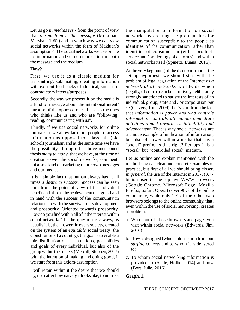Let us go *in medias res* - from the point of view that *the medium is the message* (McLuhan, Marshall, 1967) and in which way we can view social networks within the form of Makluan's assumptions? The social networks we use online for information and / or communication are both the message and the medium.

### **How?**

First, we use it as a classic medium for transmitting, sublimating, creating information with existent feed-backs of identical, similar or contradictory intents/purposes.

Secondly, the way we present it on the media is a kind of message about the intentional intent/ purpose of the opposed ones, but also the ones who thinks like us and who are "following, reading, communicating with us".

Thirdly, if we use social networks for online journalism, we allow far more people to access information as opposed to "classical" (old school) journalism and at the same time we have the possibility, through the above-mentioned thesis *many to many*, that we have, at the time of creation - over the social networks, comment, but also a kind of marketing of our own messages and our media.

It is a simple fact that human always has at all times *a desire to success*. Success can be seen both from the point of view of the individual benefit and also as the achievement that goes hand in hand with the success of the community in relationship with the survival of its development and prosperity. Oriented towards prosperity. How do you find within all of it the interest within social networks? In the question is always, as usually it is, the answer: in every society, created on the system of an *equitable* social treaty (the Constitution of a country), the goal is to enable a fair distribution of the intentions, possibilities and goals of every individual, but also of the group within the society (Metcalf, Stephen, 2017) with the intention of making and doing good, if we start from this axiom-assumption.

I will retain within it the desire that we should try, no matter how naively it looks like, to unmask

the manipulation of information on social networks by creating the prerequisites for communication susceptible to the people as identities of the communication rather than identities of consumerism (either product, service and / or ideology of all forms) and within social networks itself (Spinetti, Luana, 2016).

At the very beginning of the discussion about the set up hypothesis we should start with the problem of legal regulation of the Internet as *a network of all networks* worldwide which (legally, of course) can be intuitively deliberately wrongly sanctioned to satisfy the interests of an individual, group, state and / or corporation *per se* (Chivers, Tom, 2009). Let's start from the fact that *information is power and who controls information controls all human immediate activities aimed towards sustainability and advancement.* That is why social networks are a unique example of unification of information, but also of power within a media that has a "social" prefix. Is that right? Perhaps it is a "social" but "controlled social" medium.

Let us outline and explain mentioned with the methodological, clear and concrete examples of practice, but first of all we should bring closer, *in general*, the use of the Internet in 2017. (3.77 billion users): The top five WWW browsers (Google Chrome, Microsoft Edge, Mozilla Firefox, Safari, Opera) cover 98% of the online community, while only 2% of the other web browsers belongs to the online community, that, even within the use of social networking, creates a problem:

- a. Who controls those browsers and pages you visit within social networks (Edwards, Jim, 2016)
- b. How is designed (which information from our *surfing* collects and to whom it is delivered to)
- c. To whom social networking information is provided to (Slade, Hollie, 2014) and how (Bort, Julie, 2016).

#### **Graph. 1.**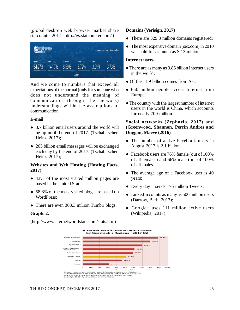(global desktop web browser market share statcounter 2017 -<http://gs.statcounter.com/> )



And we come to numbers that exceed all expectations of the normal (only for someone who does not understand the meaning of communication through the network) understandings within the assumptions of communication:

#### **E-mail**

- 3.7 billion email users around the world will be up until the end of 2017. (Tschabitscher, Heinz, 2017);
- 205 billion email messages will be exchanged each day by the end of 2017. (Tschabitscher, Heinz, 2017);

### **Websites and Web Hosting (Hosting Facts, 2017)**

- 43% of the most visited million pages are based in the United States;
- 58.8% of the most visited blogs are based on WordPress;
- There are even 363.3 million Tumblr blogs.

#### **Graph. 2.**

#### ([http://www.internetworldstats.com/stats.htm\)](http://www.internetworldstats.com/stats.htm))

### **Domains (Verisign, 2017)**

- There are 329.3 million domains registered;
- The most expensive domain (sex.com) in 2010 was sold for as much as \$ 13 million.

#### **Internet users**

- There are as many as 3.85 billion Internet users in the world;
- Of this, 1.9 billion comes from Asia:
- 650 million people access Internet from Europe;
- The country with the largest number of internet users in the world is China, which accounts for nearly 700 million.

### **Social networks (Zephoria, 2017) and (Greenwood, Shannon, Perrin Andres and Duggan, Maeve (2016)**

- The number of active Facebook users in August 2017 is 2.1 billion;
- Facebook users are 76% female (out of 100%) of all females) and 66% male (out of 100% of all males.
- The average age of a Facebook user is 40 years;
- Every day it sends 175 million Tweets;
- LinkedIn counts as many as 500 million users (Darrow, Barb, 2017);
- Google+ uses 111 million active users (Wikipedia, 2017).

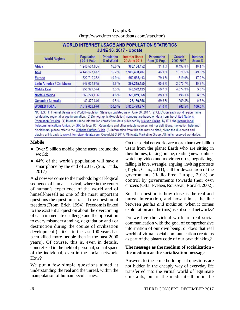| <b>WORLD INTERNET USAGE AND POPULATION STATISTICS</b><br><b>JUNE 30, 2017 - Update</b> |                           |                          |                                       |                              |                     |                     |
|----------------------------------------------------------------------------------------|---------------------------|--------------------------|---------------------------------------|------------------------------|---------------------|---------------------|
| <b>World Regions</b>                                                                   | Population<br>(2017 Est.) | Population<br>% of World | <b>Internet Users</b><br>30 June 2017 | Penetration<br>Rate (% Pop.) | Growth<br>2000-2017 | Internet<br>Users % |
| <b>Africa</b>                                                                          | 1,246,504,865             | 16.6%                    | 388,104,452                           | 31.1%                        | 8.497.0%            | 10.1%               |
| Asia                                                                                   | 4, 148, 177, 672          | 55.2%                    | 1,909,408,707                         | 46.0%                        | 1.570.5%            | 49.8%               |
| <b>Europe</b>                                                                          | 822.710.362               | 10.9%                    | 650,558,113                           | 79.1%                        | 519.0%              | 17.0 %              |
| Latin America / Caribbean                                                              | 647 604.645               | 8.6%                     | 392,215,155                           | 60.6%                        | 2,070.7%            | 10.2%               |
| <b>Middle East</b>                                                                     | 250,327,574               | 3.3%                     | 146,972,123                           | 58.7%                        | 4,374.3%            | 3.8%                |
| <b>North America</b>                                                                   | 363,224,006               | 4.8%                     | 320,059,368                           | 88.1%                        | 196.1%              | 8.3%                |
| Oceania / Australia                                                                    | 40.479.846                | 0.5%                     | 28,180,356                            | 69.6%                        | 269.8%              | 0.7%                |
| <b>WORLD TOTAL</b>                                                                     | 7,519,028,970             | 100.0%                   | 3,835,498,274                         | 51.0%                        | 962.5%              | 100.0%              |

**Graph. 3.** [\(http://www.internetworldstats.com/stats.htm\)](http://www.internetworldstats.com/stats.htm))

for detailed regional usage information. (3) Demographic (Population) numbers are based on data from the United Nations Population Division. (4) Internet usage information comes from data published by Nielsen Online, by ITU, the International Telecommunications Union, by GfK, by local ICT Regulators and other reliable sources. (5) For definitions, navigation help and disclaimers, please refer to the Website Surfing Guide. (6) Information from this site may be cited, giving the due credit and placing a link back to www.internetworldstats.com. Copyright @ 2017, Miniwatts Marketing Group. All rights reserved worldwide.

#### **Mobile**

- Over 5 billion mobile phone users around the world;
- 44% of the world's population will have a smartphone by the end of 2017. (Sui, Linda, 2017)

And now we come to the methodological-logical sequence of human survival, where in the center of human's experience of the world and of himself/herself as one of the most important questions the question is raised the question of freedom (From, Erich, 1994). Freedom is linked to the existential question about the overcoming of each immediate challenge and the opposition to every misunderstanding, degradation and / or destruction during the course of civilization development (is it? – in the last 100 years has been killed more people then in the past 2000 years). Of course, this is, even in details, concretized in the field of personal, social space of the individual, even in the social network. How?

We put a few simple questions aimed at understanding the real and the unreal, within the manipulation of human peculiarities.

On the social networks are more than two billion users from the planet Earth who are sitting in their homes, talking online, reading news online, watching video and movie records, negotiating, falling in love, wrangle, arguing, inviting protests (Taylor, Chris, 2011), call for devastation of the governments (Radio Free Europe, 2013) or control by governments towards their own citizens (Otta, Evelien, Rousseau, Ronald, 2002).

So, the question is how close is the real and unreal interaction, and how thin is the line between *genius and madman*, when it comes exploitation and the (mis)use of social networks?

Do we live the virtual world of real social communication with the goal of comprehensive information of our own being, or does that real world of virtual social communication create us as part of the binary code of our own thinking?

### **The message as the medium of socialization the medium as the socialization message**

Answers to these methodological questions are not hidden in the cheaply way of everyday life transferred into the virtual world of legitimate constants, but in the media itself or in the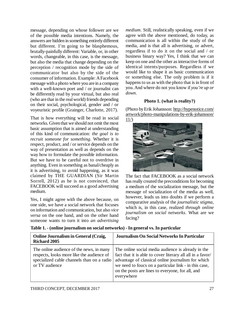message, depending on whose follower are we of the possible media intentions. Namely, the answers are hidden in something entirely different but different. I'm going to be blasphemous, brutally-painfully different: Variable, or, in other words, changeable, in this case, is the message, but also the media that change depending on the perception / recognition mode by the side of communicator but also by the side of the consumer of information. Example: A Facebook message with a photo where you are in a company with a well-known poet and / or journalist can be differently read by your virtual, but also real (who are that in the real world) friends depending on their social, psychological, gender and / or voyeuristic profile (Grainger, Charlotte, 2017).

That is how everything will be read in social networks. Given that we should not omit the most basic assumption that is aimed at understanding of this kind of communication: *the goal is to recruit someone for something*. Whether it is respect, product, and / or service depends on the way of presentation as well as depends on the way how to formulate the possible information. But we have to be careful not to overdrive in anything. Even in something as banal/cheaply as it is advertising, to avoid happening, as it was claimed by THE GUARDIAN (Sir Martin Sorrell, 2012) as he is not convinced, that FACEBOOK will succeed as a good advertising medium.

Yes, I might agree with the above because, on one side, we have a social network that focuses on information and communication, but also *vice versa* on the one hand, and on the other hand someone wants to turn it into *an advertising* *medium*. Still, realistically speaking, even if we agree with the above mentioned, do today, as communication is all within the study of the media, and is that all is advertising, or advert, regardless if to do it on the social and / or business binary way? Yes, I think that we can keep on one and the other as interactive forms of identical intents/purposes. Regardless if we would like to shape it as basic communication or something else. The only problem is if it happens to us as with the photo that is in front of you. And where do not you know if *you're up or down*.

# **Photo 1. (what is reality?)**

(Photo by Erik Johansson:<http://hypenotice.com/> artwork/photo-manipulations-by-erik-johansson/  $11/$ 



The fact that FACEBOOK as a social network has really created the preconditions for becoming a medium of the socialization message, but the message of socialization of the media as well, however, leads us into doubts if we perform a comparative analysis of the *journalistic stigma*, which is, in this case, realized *through online journalism on social networks*. What are we facing?

| <b>Online Journalism in General (Craig,</b><br><b>Richard 2005</b>                                                                                    | <b>Journalism On Social Networks In Particular</b>                                                                                                                                                                                                                                                |
|-------------------------------------------------------------------------------------------------------------------------------------------------------|---------------------------------------------------------------------------------------------------------------------------------------------------------------------------------------------------------------------------------------------------------------------------------------------------|
| The online audience of the news, in many<br>respects, looks more like the audience of<br>specialized cable channels than on a radio<br>or TV audience | The online social media audience is already in the<br>fact that it is able to cover literary all all in a favor/<br>advantage of classical online journalism for which<br>we need to foucs on a particular link - in this case,<br>on the posts are lines to everyone, for all, and<br>everywhere |

**Table 1. - (online journalism on social networks) - In general vs. In particular**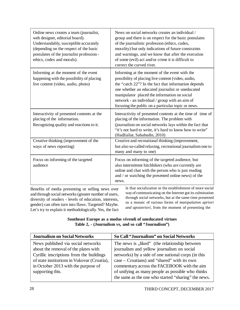| News on social networks creates an individual /<br>group and there is on respect for the basic postulates<br>of the journalistic profession (ethics, codex,<br>morality) but only indications of future constraints<br>and warnings, and we know that after the execution<br>of some (evil) act and/or crime it is difficult to<br>correct the curved river.            |
|-------------------------------------------------------------------------------------------------------------------------------------------------------------------------------------------------------------------------------------------------------------------------------------------------------------------------------------------------------------------------|
| Informing at the moment of the event with the<br>possibility of placing live content (video, audio,<br>the "catch 22"? In the fact that information depends<br>one whether an educated journalist or uneducated<br>manipulator placed the information on social<br>network - an individual / group with an aim of<br>focusing the public on a particular topic or news. |
| Interactivity of presented contents at the time of time of<br>placing of the information. The problem with<br>(journalism on social networks lays within the fact that<br>"it's not hard to write, it's hard to know how to write"<br>(Hadžialiæ, Sabahudin, 2010)                                                                                                      |
| Creative and recreational thinking (improvement,<br>but also so-called relaxing, recreational journalism one to<br>many and many to one)                                                                                                                                                                                                                                |
| Focus on informing of the targeted audience, but<br>also intermittent hitchhikers (who are currently are<br>online and chat with the person who is just reading<br>and / or watching the presented online news) of the<br>news.<br>is that socialization on the establishment of more social                                                                            |
|                                                                                                                                                                                                                                                                                                                                                                         |

Benefits of media presenting or selling news over and through social networks (greater number of users, diversity of readers - levels of education, interests, gender) can often turn into flaws. Targeted? Maybe. Let's try to explain it methodologically. Yes, the fact is that socialization or the establishment of more social way of communicating on the Internet got its culmination through social networks, but at the same time presented us a mosaic of various forms of *manipulation apriori and aposteriori*, from the moment of presenting the

#### **Southeast Europe as a modus vivendi of uneducated virtues Table 2, - (Journalism vs, and so call "Journalism")**

| <b>Journalism on Social Networks</b>        | So Call "Journalism" on Social Networks             |
|---------------------------------------------|-----------------------------------------------------|
| News published via social networks          | The news is "liked" (the relationship between       |
| about the removal of the plates with        | journalism and yellow journalism on social          |
| Cyrillic inscriptions from the buildings    | networks) by a side of one national corps (in this  |
| of state institutions in Vukovar (Croatia), | case – Croatians) and "shared" with its own         |
| in October 2013 with the purpose of         | commentary across the FACEBOOK with the aim         |
| supporting this.                            | of unifying as many people as possible who thinks   |
|                                             | the same as the one who started "sharing" the news. |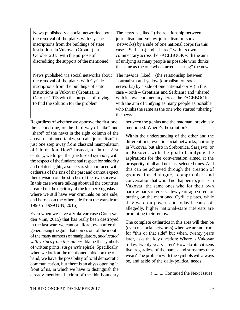| News published via social networks about<br>the removal of the plates with Cyrillic<br>inscriptions from the buildings of state<br>institutions in Vukovar (Croatia), in<br>October 2013 with the purpose of<br>discrediting the support of the mentioned     | The news is "liked" (the relationship between<br>journalism and yellow journalism on social<br>networks) by a side of one national corps (in this<br>case – Serbians) and "shared" with its own<br>commentary across the FACEBOOK with the aim<br>of unifying as many people as possible who thinks<br>the same as the one who started "sharing" the news.                         |
|---------------------------------------------------------------------------------------------------------------------------------------------------------------------------------------------------------------------------------------------------------------|------------------------------------------------------------------------------------------------------------------------------------------------------------------------------------------------------------------------------------------------------------------------------------------------------------------------------------------------------------------------------------|
| News published via social networks about<br>the removal of the plates with Cyrillic<br>inscriptions from the buildings of state<br>institutions in Vukovar (Croatia), in<br>October 2013 with the purpose of traying<br>to find the solution for the problem. | The news is "liked" (the relationship between<br>journalism and yellow journalism on social<br>networks) by a side of one national corps (in this<br>case – both – Croatians and Serbians) and "shared"<br>with its own commentary across the FACEBOOK<br>with the aim of unifying as many people as possible<br>who thinks the same as the one who started "sharing"<br>the news. |

Regardless of whether we approve the first one, the second one, or the third way of "like" and "share" of the news in the right column of the above-mentioned tables, so call "journalism" is just one step away from classical manipulation of information. How? Instead, to, in the 21st century, we forget the (mis)use of symbols, with the respect of the fundamental respect for minority and related rights, a society is still not faced with catharsis of the sins of the past and cannot expect then division on the stitches of the own survival. In this case we are talking about all the countries created on the territory of the former Yugoslavia where we still have war criminals on one side. and heroes on the other side from the wars from 1990 to 1999 (UN, 2016).

Even when we have a Vukovar case (Coen van den Vinn, 2015) that has really been destroyed in the last war, we cannot afford, even after the generalizing the guilt that comes out of the mouth of the many numbers of manipulators, *uneducated with virtues from this places*, blame the symbols of written prints, *sui generis* epistle. Specifically, when we look at the mentioned table, on the one hand, we have the possibility of total democratic communication, but there is an abyss opening in front of us, in which we have to distinguish the already mentioned axiom of the thin boundary between the genius and the madman, previously mentioned. Where's the solution?

Within the understanding of the other and the different one, even in social networks, not only in Vukovar, but also in Srebrenica, Sarajevo, or in Kosovo, with the goal of unifying the aspirations for the conversation aimed at the prosperity of all and not just selected ones. And this can be achieved through the creation of groups for dialogue, compromise and conversation that would not happen to, just as in Vukovar, the same ones who for their own narrow-party interests a few years ago voted for putting on the mentioned Cyrillic plates, while they were on power, and today because of, allegedly, higher national-state interests are promoting their removal.

The complete cathartics in this area will then be (even on social networks) when we are not root for "this or that side" but when, twenty years later, asks the key question: Where is Vukovar today, twenty years later? How do its citizens live, regardless of the names and surnames they wear? The problem with the symbols will always be, and aside of the daily-political needs.

(..........Contnued the Next Issue)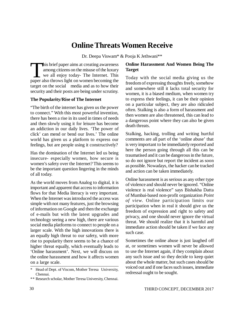# **Online Threats Women Receive**

Dr. Deepa Viswam\* & Pooja K Jethwani\*\*

his brief paper aims at creating awareness<br>among citizens on the misuse of the luxury<br>we all enjoy today- The Internet. This<br>paper also throws light on women becoming the among citizens on the misuse of the luxury we all enjoy today- The Internet. This paper also throws light on women becoming the target on the social media and as to how their security and their posts are being under scrutiny.

### **The Popularity/Rise of The Internet**

"The birth of the internet has given us the power to connect." With this most powerful invention, there has been a rise in its used in times of needs and then slowly using it for leisure has become an addiction in our daily lives. 'The power of click' can mend or bend our lives.' The online world has given us a platform to express our feelings, but are people using it constructively?

Has the domination of the Internet led us being insecure- especially women, how secure is women's safety over the Internet? This seems to be the important question lingering in the minds of all today.

As the world moves from Analog to digital, it is important and apparent that access to information flows for that Media literacy is very important. When the Internet was introduced the access was simple with not many features, just the browsing of information on Google and then the exchange of e-mails but with the latest upgrades and technology seeing a new high, there are various social media platforms to connect to people on a larger scale. With the high innovations there is an equally high threat to our safety, with more rise to popularity there seems to be a chance of higher threat equally, which eventually leads to 'Online harassment'. Next, we will discuss on the online harassment and how it affects women on a large scale.

\*\* Research scholar, Mother Teresa University, Chennai.

# **Online Harassment And Women Being The Target**

Today with the social media giving us the freedom of expressing thoughts freely, somehow and somewhere still it lacks total security for women, it is a biased medium, when women try to express their feelings, it can be their opinion on a particular subject, they are also ridiculed often. Stalking is also a form of harassment and then women are also threatened, this can lead to a dangerous point where they can also be given death threats.

Stalking, hacking, trolling and writing hurtful comments are all part of the 'online abuse' that is very important to be immediately reported and here the person going through all this can be traumatised and it can be dangerous in the future, so do not ignore but report the incident as soon as possible. Nowadays, the hacker can be tracked and action can be taken immediately.

Online harassment is as serious as any other type of violence and should never be ignored. "Online violence is real violence" says Bishakha Datta of Mumbai-based non-profit organization *Point of view*. Online participation limits our participation when in real it should give us the freedom of expression and right to safety and privacy, and one should never ignore the virtual threat. We should realize that it is harmful and immediate action should be taken if we face any such case.

Sometimes the online abuse is just laughed off at, or sometimes women will never be allowed to use the Internet again, if they complain about any such issue and so they decide to keep quiet about the whole matter, but such cases should be voiced out and if one faces such issues, immediate redressal ought to be sought.

Head of Dept. of Viscom, Mother Teresa University, Chennai.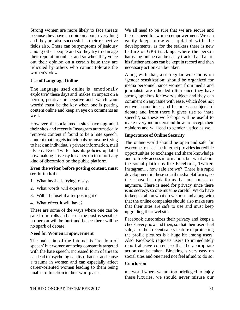Strong women are more likely to face threats because they have an opinion about everything and they are also successful in their respective fields also. There can be symptoms of jealousy among other people and so they try to damage their reputation online, and so when they voice out their opinion on a certain issue they are ridiculed by others who cannot tolerate the women's view.

#### **Use of Language Online**

The language used online is 'emotionally explosive' these days and makes an impact on a person, positive or negative and 'watch your words' must be the key when one is posting content online and keep an eye on comments as well.

However, the social media sites have upgraded their sites and recently Instagram automatically removes content if found to be a hate speech, content that targets individuals or anyone trying to hack an individual's private information, mail ids etc. Even Twitter has its policies updated now making it is easy for a person to report any kind of discomfort on the public platform.

### **Even the writer, before posting content, must see to it that:**

- 1. What he/she is trying to say?
- 2. What words will express it?
- 3. Will it be useful after posting it?
- 4. What effect it will have?

These are some of the ways where one can be safe from trolls and also if the post is sensible, no person will be hurt and hence there will be no spark of debate.

# **Need for Women Empowerment**

The main aim of the Internet is 'freedom of speech' but women are being constantly targeted with the hate speech, increased form of threats can lead to psychological disturbances and cause a trauma in women and can especially affect career-oriented women leading to them being unable to function in their workplace.

We all need to be sure that we are secure and there is need for women empowerment. We can easily keep ourselves updated with the developments, as for the stalkers there is new feature of GPS tracking, where the person harassing online can be easily tracked and all of his further actions can be kept in record and then necessary action can be taken.

Along with that, also regular workshops on 'gender sensitization' should be organized for media personnel, since women from media and journalists are ridiculed often since they have strong opinions for every subject and they can comment on any issue with ease, which does not go well sometimes and becomes a subject of debate and from there it gives rise to 'hate speech'; so these workshops will be useful to make everyone understand how to accept their opinions and will lead to gender justice as well.

### **Importance of Online Security**

The online world should be open and safe for everyone to use. The Internet provides incredible opportunities to exchange and share knowledge and to freely access information, but what about the social platforms like Facebook, Twitter, Instagram… how safe are we? There is a rapid development in these social media platforms, so these have been platforms that are not secret anymore. There is need for privacy since there is no secrecy, so one must be careful. We do have to keep a tab on what do we post and along with that the online companies should also make sure that their sites are safe to use and must keep upgrading their website.

Facebook customizes their privacy and keeps a check every now and then, so that their users feel safe, also their recent safety feature of protecting the profile pictures is a huge hit among users. Also Facebook requests users to immediately report abusive content so that the appropriate action can be taken. Blocking is very easy on social sites and one need not feel afraid to do so.

#### **Conclusion**

n a world where we are too privileged to enjoy these luxuries, we should never misuse our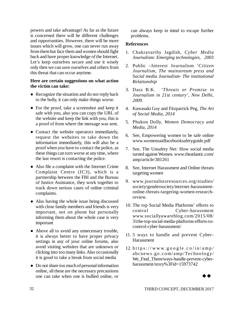powers and take advantage! As far as the future is concerned there will be different challenges and opportunities. However, there will be more issues which will grow, one can never run away from them but face them and women should fight back and have proper knowledge of the Internet. Let's keep ourselves secure and use it wisely only then we can save ourselves and others from this threat that can occur anytime.

#### **Here are certain suggestions on what action the victim can take:**

- Recognize the situation and do not reply back to the bully, it can only make things worse.
- For the proof, take a screenshot and keep it safe with you, also you can copy the URL of the website and keep the link with you, this is a proof of from where the message was sent.
- Contact the website operators immediately, request the websites to take down the information immediately, this will also be a proof when you have to contact the police, as these things can turn worse at any time, where the last resort is contacting the police.
- Also file a complaint with the Internet Crime Complaint Centre (IC3), which is a partnership between the FBI and the Bureau of Justice Assistance, they work together to track down serious cases of online criminal complaints.
- Also having the whole issue being discussed with close family members and friends is very important, not on phone but personally informing them about the whole case is very important
- Above all to avoid any unnecessary trouble, it is always better to have proper privacy settings in any of your online forums, also avoid visiting websites that are unknown or clicking into too many links. Also occasionally it is good to take a break from social media
- Do not share too much of personal information online, all these are the necessary precautions one can take when one is bullied online, or

can always keep in mind to escape further problems.

### **References**

- 1. Chakravarthy Jagdish, *Cyber Media Journalism: Emerging technologies, 2003*
- 2. Public –Interest Journalism *'Citizen Journalism, The mainstream press and Social media Journalism- The institutional Relationship*
- 3. Dass B.K. *'Threats or Promise in Journalism in 21st century', New Delhi, 2009.*
- 4. Kawasaki Guy and Fitzpatrick Peg, *The Art of Social Media, 2014*
- 5. Phukon Dolly, *Women Democracy and Media, 2014*
- 6. See, Empowering women to be safe online [www.womensaidfacebooksafetyguide.pdf](http://www.womensaidfacebooksafetyguide.pdf)
- 7. See, The Unsafety Net: How social media turned against Women. [www.theatlantic.com/](http://www.theatlantic.com/) amp/article/381261
- 8. See, Internet Harassment and Online threats targeting women
- 9. www.journalistsresources.org/studies/ society/gendersociety/internet-harassmentonline-threats-targeting-women-researchreview.
- 10. The top Social Media Platforms' efforts to control Cyber-harassment www.sociallyawareblog.com/2015/08/ 31the-top-social-media-platforms-efforts-tocontrol-cyber-harassment/
- 11. 5 ways to handle and prevent Cyber-**Harassment**
- 12. https://www.google.co/in/amp/ abcnews. go . co m/amp/Techno lo gy/ We Find Them/ways-handle-prevent-cyberharassment/story%3Fid=15973742

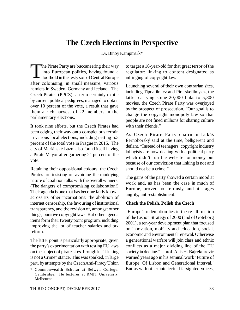# **The Czech Elections in Perspective**

Dr. Binoy Kampmark\*

The Pirate Party are buccaneering their way<br>into European politics, having found a<br>foothold in the testy soil of Central Europe The Pirate Party are buccaneering their way into European politics, having found a after colonising, in small measure, various hamlets in Sweden, Germany and Iceland. The Czech Pirates (PPCZ), a term certainly exotic by current political pedigrees, managed to obtain over 10 percent of the vote, a result that gave them a rich harvest of 22 members in the parliamentary elections.

It took nine efforts, but the Czech Pirates had been edging their way onto conspicuous terrain in various local elections, including netting 5.3 percent of the total vote in Prague in 2015. The city of Mariánské Láznì also found itself having a Pirate Mayor after garnering 21 percent of the vote.

Retaining their oppositional colours, the Czech Pirates are insisting on avoiding the muddying nature of coalition talks with the overall winners. (The dangers of compromising collaboration!) Their agenda is one that has become fairly known across its other incarnations: the abolition of internet censorship, the favouring of institutional transparency, and the revision of, amongst other things, punitive copyright laws. But other agenda items form their twenty point program, including improving the lot of teacher salaries and tax reform.

The latter point is particularly appropriate, given the party's experimentation with testing EU laws on the subject of pirate sites through its "Linking is not a Crime" stance. This was sparked, in large part, by attempts by the Czech Anti-Piracy Union to target a 16-year-old for that great terror of the regulator: linking to content designated as infringing of copyright law.

Launching several of their own contrarian sites, including Tipnafilm.cz and Piratskefilmy.cz, the latter carrying some 20,000 links to 5,800 movies, the Czech Pirate Party was overjoyed by the prospect of prosecution. "Our goal is to change the copyright monopoly law so that people are not fined millions for sharing culture with their friends."

As Czech Pirate Party chairman Lukáš Èernohorský said at the time, belligerent and defiant, "Instead of teenagers, copyright industry lobbyists are now dealing with a political party which didn't run the website for money but because of our conviction that linking is not and should not be a crime."

The gains of the party showed a certain mood at work and, as has been the case in much of Europe, proved boisterously, and at stages angrily, anti-establishment.

#### **Check the Polish, Polish the Czech**

"Europe's redemption lies in the re-affirmation of the Lisbon Strategy of 2000 (and of Göteborg 2001), a ten-year development plan that focused on innovation, mobility and education, social, economic and environmental renewal. Otherwise a generational warfare will join class and ethnic conflicts as a major dividing line of the EU society in decline." – prof. Anis H. Bajrektarevic warned years ago in his seminal work 'Future of Europe: Of Lisbon and Generational Interval.' But as with other intellectual farsighted voices,

<sup>\*</sup> Commonwealth Scholar at Selwyn College, Cambridge. He lectures at RMIT University, Melbourne.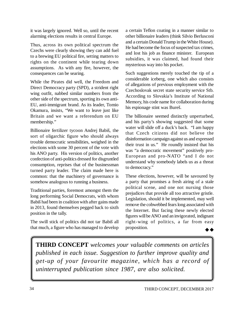it was largely ignored. Well so, until the recent alarming elections results in central Europe.

Thus, across its own political spectrum the Czechs were clearly showing they can add fuel to a brewing EU political fire, setting matters to rights on the continent while tearing down assumptions. As with any fire, however, the consequences can be searing.

While the Pirates did well, the Freedom and Direct Democracy party (SPD), a strident right wing outfit, nabbed similar numbers from the other side of the spectrum, sporting its own anti-EU, anti-immigrant brand. As its leader, Tomio Okamura, insists, "We want to leave just like Britain and we want a referendum on EU membership."

Billionaire fertilizer tycoon Andrej Babiš, the sort of oligarchic figure who should always trouble democratic sensibilities, weighed in the elections with some 30 percent of the vote with his ANO party. His version of politics, another confection of anti-politics dressed for disgruntled consumption, reprises that of the businessman turned party leader. The claim made here is common: that the machinery of governance is somehow analogous to running a business.

Traditional parties, foremost amongst them the long performing Social Democrats, with whom Babiš had been in coalition with after gains made in 2013, found themselves pegged back to sixth position in the tally.

The swill stick of politics did not tar Babiš all that much, a figure who has managed to develop a certain Teflon coating in a manner similar to other billionaire leaders (think Silvio Berlusconi and a certain Donald Trump in the White House). He had become the focus of suspected tax crimes, and lost his job as finance minister. European subsidies, it was claimed, had found their mysterious way into his pocket.

Such suggestions merely touched the tip of a considerable iceberg, one which also consists of allegations of previous employment with the Czechoslovak secret state security service Stb. According to Slovakia's Institute of National Memory, his code name for collaboration during his espionage stint was Bureš.

The billionaire seemed distinctly unperturbed, and his party's showing suggested that some water will slide off a duck's back. "I am happy that Czech citizens did not believe the disinformation campaign against us and expressed their trust in us." He roundly insisted that his was "a democratic movement" positively pro-European and pro-NATO "and I do not understand why somebody labels us as a threat to democracy."

These elections, however, will be savoured by a party that promises a fresh airing of a stale political scene, and one not nursing those prejudices that provide all too attractive gristle. Legislation, should it be implemented, may well remove the cobwebbed fears long associated with the Internet. But facing these newly elected figures will be ANO and an invigorated, indignant right-wing of politics, a far from easy proposition.  $\rightarrow \rightarrow$ 

**THIRD CONCEPT** *welcomes your valuable comments on articles published in each issue. Suggestion to further improve quality and get-up of your favourite magazine, which has a record of uninterrupted publication since 1987, are also solicited.*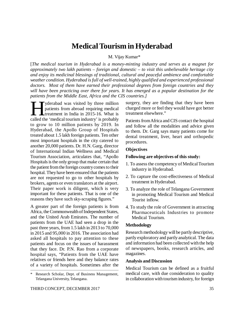# **Medical Tourism in Hyderabad**

M. Vijay Kumar\*

[*The medical tourism in Hyderabad is a money-minting industry and serves as a magnet for approximately two lakh patients – foreign and domestic – to visit this unbelievable heritage city and enjoy its medicinal blessings of traditional, cultural and peaceful ambience and comfortable weather condition. Hyderabad is full of well-trained, highly qualified and experienced professional doctors. Most of them have earned their professional degrees from foreign countries and they will have been practicing over there for years. It has emerged as a popular destination for the patients from the Middle East, Africa and the CIS countries.]*

yderabad was visited by three million patients from abroad requiring medical treatment in India in 2015-16. What is called the 'medical tourism industry' is probably yderabad was visited by three million patients from abroad requiring medical treatment in India in 2015-16. What is to grow to 10 million patients by 2019. In Hyderabad, the Apollo Group of Hospitals treated about 1.5 lakh foreign patients. Ten other most important hospitals in the city catered to another 20,000 patients. Dr. H.N. Garg, director of International Indian Wellness and Medical Tourism Association, articulates that, "Apollo Hospitals is the only group that make certain that the patient from the foreign country comes to their hospital. They have been ensured that the patients are not requested to go to other hospitals by brokers, agents or even translators at the airport. Their paper work is diligent, which is very important for these patients. That is one of the reasons they have such sky-scraping figures."

A greater part of the foreign patients is from Africa, the Commonwealth of Independent States, and the United Arab Emirates. The number of patients from the UAE had seen a drop in the past three years, from 1.5 lakh in 2013 to 70,000 in 2015 and 95,000 in 2016. The association had asked all hospitals to pay attention to these patients and focus on the issues of harassment that they face. Dr. P.N. Rao from a corporate hospital says, "Patients from the UAE have relatives or friends here and they balance rates of a variety of hospitals. Sometimes after the surgery, they are finding that they have been charged more or feel they would have got better treatment elsewhere."

Patients from Africa and CIS contact the hospital and follow all the modalities and advice given to them. Dr. Garg says many patients come for dental treatment, liver, heart and orthopedic procedures.

#### **Objectives**

#### **Following are objectives of this study:**

- 1. To assess the competency of Medical Tourism industry in Hyderabad.
- 2. To capture the cost-effectiveness of Medical treatment in Hyderabad.
- 3. To analyze the role of Telangana Government in promoting Medical Tourism and Medical Tourist inflow.
- 4. To study the role of Government in attracting Pharmaceuticals Industries to promote Medical Tourism.

#### **Methodology**

Research methodology will be partly descriptive, partly exploratory and partly analytical. The data and information had been collected with the help of newspapers, books, research articles, and magazines.

#### **Analysis and Discussion**

Medical Tourism can be defined as a fruitful medical care, with due consideration to quality in collaboration with tourism industry, for foreign

<sup>\*</sup> Research Scholar, Dept. of Business Management, Telangana University, Telangana.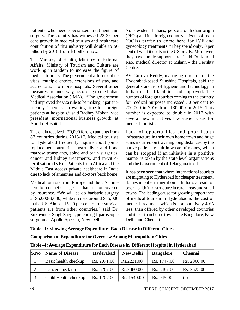patients who need specialized treatment and surgery. The country has witnessed 22-25 per cent growth in medical tourism and healthcare contribution of this industry will double to \$6 billion by 2018 from \$3 billion now.

The Ministry of Health, Ministry of External Affairs, Ministry of Tourism and Culture are working in tandem to increase the figure of medical tourists. The government affords online visas, multiple entries, extensions of stay, and accreditation to more hospitals. Several other measures are underway, according to the Indian Medical Association (IMA). "The government had improved the visa rule to be making it patientfriendly. There is no waiting time for foreign patients at hospitals," said Radhey Mohan, vice president, international business growth, at Apollo Hospitals.

The chain received 170,000 foreign patients from 87 countries during 2016-17. Medical tourists to Hyderabad frequently inquire about jointreplacement surgeries, heart, liver and bone marrow transplants, spine and brain surgeries, cancer and kidney treatments, and in-vitrofertilisation (IVF). Patients from Africa and the Middle East access private healthcare in India due to lack of amenities and doctors back home.

Medical tourists from Europe and the US come here for cosmetic surgeries that are not covered by insurance. "We will be do bariatric surgery at \$6,000-8,000, while it costs around \$15,000 in the US. Almost 15-20 per cent of our surgical patients are from other countries," said Dr. Sukhvinder Singh Saggu, practicing laparoscopic surgeon at Apollo Spectra, New Delhi.

Non-resident Indians, persons of Indian origin (PIOs) and in a foreign country citizens of India (OCIs) prefer to come here for IVF and gynecology treatments. "They spend only 30 per cent of what it costs in the US or UK. Moreover, they have family support here," said Dr. Kamini Rao, medical director at Milann - the Fertility Centre.

AV Guruva Reddy, managing director of the Hyderabad-based Sunshine Hospitals, said the general standard of hygiene and technology in Indian medical facilities had improved. The number of foreign tourists coming to the country for medical purposes increased 50 per cent to 200,000 in 2016 from 130,000 in 2015. This number is expected to double in 2017 with several new initiatives like easier visas for medical tourists.

Lack of opportunities and poor health infrastructure in their own home town and huge sums incurred on traveling long distances by the native patients result in waste of money, which can be stopped if an initiative in a positive manner is taken by the state level organizations and the Government of Telangana itself.

It has been seen that where international tourists are migrating to Hyderabad for cheaper treatment, domestic patient migration in India is a result of poor health infrastructure in rural areas and small towns. The leading cause for growing importance of medical tourism in Hyderabad is the cost of medical treatment which is comparatively 40% less, than offered by other developed countries and it less than home towns like Bangalore, New Delhi and Chennai.

#### **Table –I: showing Average Expenditure Each Disease in Different Cities.**

#### **Comparison of Expenditure for Overview Among Metropolitan Cities**

| $\mathbf{S}.\mathbf{No}$ | <b>Name of Disease</b><br>Hyderabad<br><b>New Delhi</b> |             | <b>Bangalore</b>    | <b>Chennai</b> |             |
|--------------------------|---------------------------------------------------------|-------------|---------------------|----------------|-------------|
|                          | Basic health checkup                                    | Rs. 2071.00 | Rs.2221.00          | Rs. 1747.00    | Rs. 2000.00 |
|                          | Cancer check up                                         | Rs. 5267.00 | Rs.2380.00          | Rs. 3487.00    | Rs. 2525.00 |
| $\mathbf{c}$             | Child Health checkup                                    | Rs. 1207.00 | $\vert$ Rs. 1540.00 | Rs. 945.00     | $(-)$       |

**Table –I: Average Expenditure for Each Disease in Different Hospital in Hyderabad**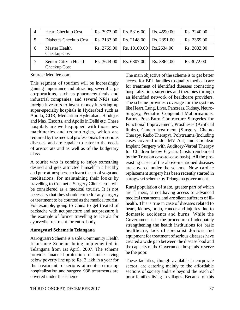| $\overline{4}$ | <b>Heart Checkup Cost</b>             | Rs. 3973.00 | Rs. 5316.00  | Rs. 4590.00 | Rs. 3240.00 |
|----------------|---------------------------------------|-------------|--------------|-------------|-------------|
|                | Diabetes Checkup Cost                 | Rs. 2133.00 | Rs. 2148.00  | Rs. 2391.00 | Rs. 2369.00 |
| 6              | <b>Master Health</b><br>Checkup Cost  | Rs. 2769.00 | Rs. 10100.00 | Rs.2634.00  | Rs. 3083.00 |
|                | Senior Citizen Health<br>Checkup Cost | Rs. 3644.00 | Rs. 6807.00  | Rs. 3862.00 | Rs.3072.00  |

Source: Medifee.com

This segment of tourism will be increasingly gaining importance and attracting several large corporations, such as pharmaceuticals and industrial companies, and several NRIs and foreign investors to invest money in setting up super-specialty hospitals in Hyderabad such as Apollo, CDR, Mediciti in Hyderabad, Hindujas and Max, Escorts, and Apollo in Delhi etc. These hospitals are well-equipped with those new machineries and technologies, which are required by the medical professionals for serious diseases, and are capable to cater to the needs of aristocrats and as well as of the budgetary class.

A tourist who is coming to enjoy something desired and gets attracted himself in a healthy and pure atmosphere, to learn the art of yoga and meditations, for maintaining their looks by travelling to Cosmetic Surgery Clinics etc., will be considered as a medical tourist. It is not necessary that they should come for any surgery or treatment to be counted as the medical tourist. For example, going to China to get treated of backache with acupuncture and acupressure is the example of former travelling to Kerala for ayurvedic treatment for entire body.

#### **Aarogyasri Scheme in Telangana**

Aarogyasri Scheme is a sole Community Health Insurance Scheme being implemented in Telangana from 1st April, 2007. The scheme provides financial protection to families living below poverty line up to Rs. 2 lakh in a year for the treatment of serious ailments requiring hospitalization and surgery. 938 treatments are covered under the scheme.

The main objective of the scheme is to get better access for BPL families to quality medical care for treatment of identified diseases connecting hospitalization, surgeries and therapies through an identified network of healthcare providers. The scheme provides coverage for the systems like Heart, Lung, Liver, Pancreas, Kidney, Neuro-Surgery, Pediatric Congenital Malformations, Burns, Post-Burn Contracture Surgeries for Functional Improvement, Prostheses (Artificial limbs), Cancer treatment (Surgery, Chemo Therapy, Radio Therapy), Polytrauma (including cases covered under MV Act) and Cochlear Implant Surgery with Auditory-Verbal Therapy for Children below 6 years (costs reimbursed by the Trust on case-to-case basis). All the preexisting cases of the above-mentioned diseases are covered under the scheme. Now cardiac replacement surgery has been recently started in aarogyasri scheme by Telangana government.

Rural population of state, greater part of which are farmers, is not having access to advanced medical treatments and are silent sufferers of illhealth. This is true in case of diseases related to heart, kidney, brain, cancer and injuries due to domestic accidents and burns. While the Government is in the procedure of adequately strengthening the health institutions for basic healthcare, lack of specialist doctors and equipment for treatment of serious diseases have created a wide gap between the disease load and the capacity of the Government hospitals to serve be the poor.

These facilities, though available in corporate sector, are catering mainly to the affordable sections of society and are beyond the reach of poor families living in villages. Because of this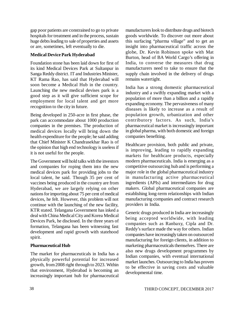gap poor patients are constrained to go to private hospitals for treatment and in the process, sustain huge debts leading to sale of properties and assets or are, sometimes, left eventually to die.

# **Medical Device Park Hyderabad**

Foundation stone has been laid down for first of its kind Medical Devices Park at Sultanpur in Sanga Reddy district. IT and Industries Minister, KT Rama Rao, has said that Hyderabad will soon become a Medical Hub in the country. Launching the new medical devises park is a good step as it will give sufficient scope for employment for local talent and get more recognition to the city in future.

Being developed in 250-acre in first phase, the park can accommodate about 1000 production companies in the premises. The production of medical devices locally will bring down the health expenditure for the people; he said adding that Chief Minister K Chandrasekhar Rao is of the opinion that high end technology is useless if it is not useful for the people.

The Government will hold talks with the investors and companies for roping them into the new medical devices park for providing jobs to the local talent, he said. Though 35 per cent of vaccines being produced in the country are from Hyderabad, we are largely relying on other nations for importing about 75 per cent of medical devices, he felt. However, this problem will not continue with the launching of the new facility, KTR stated. Telangana Government has inked a deal with China Medical City and Korea Medical Devices Park, he disclosed. In the three years of formation, Telangana has been witnessing fast development and rapid growth with statehood spirit.

# **Pharmaceutical Hub**

The market for pharmaceuticals in India has a physically powerful potential for increased growth, from 2008 right through to 2023. Within that environment, Hyderabad is becoming an increasingly important hub for pharmaceutical

manufacturers look to distribute drugs and biotech goods worldwide. To discover out more about this surfacing "pharma village" and to get an insight into pharmaceutical traffic across the globe, Dr. Kevin Robinson spoke with Mat Burton, head of BA World Cargo's offering in India, to converse the measures that drug manufacturers need to take to ensure that the supply chain involved in the delivery of drugs remains watertight.

India has a strong domestic pharmaceutical industry and a swiftly expanding market with a population of more than a billion and a rapidly expanding economy. The pervasiveness of many diseases is likely to increase as a result of population growth, urbanization and other contributory factors. As such, India's pharmaceutical market is increasingly important in global pharma, with both domestic and foreign companies benefiting.

Healthcare provision, both public and private, is improving, leading to rapidly expanding markets for healthcare products, especially modern pharmaceuticals. India is emerging as a competitive outsourcing hub and is performing a major role in the global pharmaceutical industry in manufacturing active pharmaceutical ingredients (APIs) and intermediates for drug makers. Global pharmaceutical companies are establishing long-term relationships with Indian manufacturing companies and contract research providers in India.

Generic drugs produced in India are increasingly being accepted worldwide, with leading companies such as Ranbaxy, Cipla and Dr. Reddy's surface made the way for others. Indian companies have increasingly taken on outsourced manufacturing for foreign clients, in addition to marketing pharmaceuticals themselves. There are also new drugs development programmes by Indian companies, with eventual international market launches. Outsourcing to India has proven to be effective in saving costs and valuable developmental time.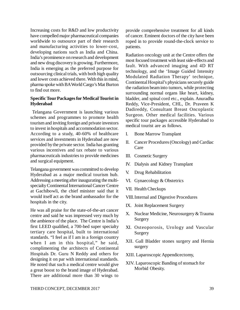Increasing costs for R&D and low productivity have compelled major pharmaceutical companies worldwide to outsource part of their research and manufacturing activities to lower-cost, developing nations such as India and China. India's prominence on research and development and new drug discovery is growing. Furthermore, India is emerging as the preferred purpose for outsourcing clinical trials, with both high quality and lower costs achieved there. With this in mind, pharma spoke with BA World Cargo's Mat Burton to find out more.

### **Specific Tour Packages for Medical Tourist in Hyderabad**

 Telangana Government is launching various schemes and programmes to promote health tourism and inviting foreign and private investors to invest in hospitals and accommodation sector. According to a study, 40-60% of healthcare services and investments in Hyderabad are now provided by the private sector. India has granting various incentives and tax rebate to various pharmaceuticals industries to provide medicines and surgical equipment.

Telangana government was committed to develop Hyderabad as a major medical tourism hub. Addressing a meeting after inaugurating the multispecialty Continental International Cancer Centre at Gachibowli, the chief minister said that it would itself act as the brand ambassador for the hospitals in the city.

He was all praise for the state-of-the-art cancer centre and said he was impressed very much by the ambience of the place. The Centre is India's first LEED qualified, a 700-bed super specialty tertiary care hospital, built to international standards. "I feel as if I am in a foreign country when I am in this hospital," he said, complimenting the architects of Continental Hospitals Dr. Guru N Reddy and others for designing it on par with international standards. He noted that such a medical centre would give a great boost to the brand image of Hyderabad. There are additional more than 30 wings to

provide comprehensive treatment for all kinds of cancer. Eminent doctors of the city have been roped in to provide round-the-clock service to patients.

Radiation oncology unit at the Centre offers the most focused treatment with least side-effects and fault. With advanced imaging and 4D RT technology, and the 'Image Guided Intensity Modulated Radiation Therapy' technique, Continental Hospital's physicians securely guide the radiation beam into tumors, while protecting surrounding normal organs like heart, kidney, bladder, and spinal cord etc., explain. Anuradha Reddy, Vice-President, CHL, Dr. Praveen K Dadireddy, Consultant Breast Oncoplastic Surgeon. Other medical facilities. Various specific tour packages accessible Hyderabad to medical tourist are as follows.

- I. Bone Marrow Transplant
- II. Cancer Procedures (Oncology) and Cardiac Care
- III. Cosmetic Surgery
- IV. Dialysis and Kidney Transplant
- V. Drug Rehabilitation
- VI. Gynaecology & Obstetrics
- VII. Health Checkups
- VIII.Internal and Digestive Procedures
- IX. Joint Replacement Surgery
- X. Nuclear Medicine, Neurosurgery & Trauma Surgery
- XI. Osteoporosis, Urology and Vascular Surgery
- XII. Gall Bladder stones surgery and Hernia surgery
- XIII. Laparoscopic Appendicectomy,
- XIV. Laparoscopic Banding of stomach for Morbid Obesity.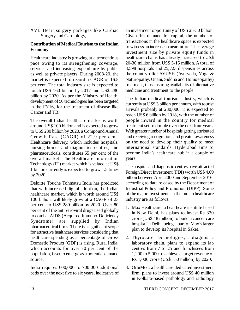XVI. Heart surgery packages like Cardiac Surgery and Cardiology,

# **Contribution of Medical Tourism to the Indian Economy**

Healthcare industry is growing at a tremendous pace owing to its strengthening coverage, services and increasing expenditure by public as well as private players. During 2008-20, the market is expected to record a CAGR of 16.5 per cent. The total industry size is expected to touch US\$ 160 billion by 2017 and US\$ 280 billion by 2020. As per the Ministry of Health, development of 50 technologies has been targeted in the FY16, for the treatment of disease like Cancer and TB.

The overall Indian healthcare market is worth around US\$ 100 billion and is expected to grow to US\$ 280 billion by 2020, a Compound Annual Growth Rate (CAGR) of 22.9 per cent. Healthcare delivery, which includes hospitals, nursing homes and diagnostics centres, and pharmaceuticals, constitutes 65 per cent of the overall market. The Healthcare Information Technology (IT) market which is valued at US\$ 1 billion currently is expected to grow 1.5 times by 2020.

Deloitte Touche Tohmatsu India has predicted that with increased digital adoption, the Indian healthcare market, which is worth around US\$ 100 billion, will likely grow at a CAGR of 23 per cent to US\$ 280 billion by 2020. Over 80 per cent of the antiretroviral drugs used globally to combat AIDS (Acquired Immuno-Deficiency Syndrome) are supplied by Indian pharmaceutical firms. There is a significant scope for attractive healthcare services considering that healthcare spending as a percentage of Gross Domestic Product (GDP) is rising. Rural India, which accounts for over 70 per cent of the population, is set to emerge as a potential demand source.

India requires 600,000 to 700,000 additional beds over the next five to six years, indicative of an investment opportunity of US\$ 25-30 billion. Given this demand for capital, the number of transactions in the healthcare space is expected to witness an increase in near future. The average investment size by private equity funds in healthcare chains has already increased to US\$ 20-30 million from US\$ 5-15 million. A total of 3,598 hospitals and 25,723 dispensaries across the country offer AYUSH (Ayurveda, Yoga & Naturopathy, Unani, Siddha and Homoeopathy) treatment, thus ensuring availability of alternative medicine and treatment to the people.

The Indian medical tourism industry, which is currently at US\$ 3 billion per annum, with tourist arrivals probably at 230,000, it is expected to reach US\$ 6 billion by 2018, with the number of people inward in the country for medical treatment set to double over the next four years. With greater number of hospitals getting attributed and receiving recognition, and greater awareness on the need to develop their quality to meet international standards, Hyderabad aims to become India's healthcare hub in a couple of years.

The hospital and diagnostic centres have attracted Foreign Direct Investment (FDI) worth US\$ 4.09 billion between April 2000 and September 2016, according to data released by the Department of Industrial Policy and Promotion (DIPP). Some of the major investments in the Indian healthcare industry are as follows:

- 1. Max Healthcare, a healthcare institute based in New Delhi, has plans to invest Rs 320 crore (US\$ 48 million) to build a cancer care hospital in Delhi, being a part of Max's larger plan to develop its hospital in Saket.
- 2. Thyrocare Technologies, a diagnostic laboratory chain, plans to expand its lab centres from 7 to 25 and franchisees from 1,200 to 5,000 to achieve a target revenue of Rs 1,000 crore (US\$ 150 million) by 2020.
- 3. OrbiMed, a healthcare dedicated investment firm, plans to invest around US\$ 40 million in Kolkata-based pathology and radiology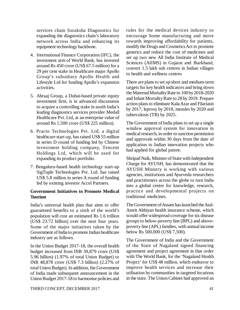services chain Suraksha Diagnostics for expanding the diagnostics chain's laboratory network across India and enhancing its equipment technology backbone.

- 4. International Finance Corporation (IFC), the investment arm of World Bank, has invested around Rs 450 crore (US\$ 67.5 million) for a 29 per cent stake in Healthcare major Apollo Group's subsidiary Apollo Health and Lifestyle Ltd for funding Apollo's expansion activities.
- 5. Abraaj Group, a Dubai-based private equity investment firm, is in advanced discussions to acquire a controlling stake in south India's leading diagnostics services provider Medall Healthcare Pvt. Ltd, at an enterprise value of around Rs 1,500 crore (US\$ 225 million).
- 6. Practo Technologies Pvt. Ltd, a digital healthcare start-up, has raised US\$ 55 million in series D round of funding led by Chinese investment holding company, Tencent Holdings Ltd, which will be used for expanding its product portfolio.
- 7. Bengaluru-based health technology start-up SigTuple Technologies Pvt. Ltd. has raised US\$ 5.8 million in series A round of funding led by existing investor Accel Partners.

# **Government Initiatives to Promote Medical Tourism**

India's universal health plan that aims to offer guaranteed benefits to a sixth of the world's population will cost an estimated Rs 1.6 trillion (US\$ 23.72 billion) over the next four years. Some of the major initiatives taken by the Government of India to promote Indian healthcare industry are as follows.

In the Union Budget 2017-18, the overall health budget increased from INR 39,879 crore (US\$ 5.96 billion) (1.97% of total Union Budget) to INR 48,878 crore (US\$ 7.3 billion) (2.27% of total Union Budget). In addition, the Government of India made subsequent announcement in the Union Budget 2017-18 to harmonise policies and rules for the medical devices industry to encourage home manufacturing and move towards improving affordability for patients, modify the Drugs and Cosmetics Act to promote generics and reduce the cost of medicines and set up two new All India Institute of Medical Sciences (AIIMS) in Gujarat and Jharkhand, convert 1.5 lakh sub centres in Indian villages to health and wellness centres

There are plans to set up short and medium-term targets for key health indicators and bring down the Maternal Mortality Rate to 100 by 2018-2020 and Infant Mortality Rate to 28 by 2019. Prepare action plans to eliminate Kala Azar and Filariasis by 2017, leprosy by 2018, measles by 2020 and tuberculosis (TB) by 2025.

The Government of India plans to set up a single window approval system for innovation in medical research, in order to sanction permission and approvals within 30 days from the date of application to Indian innovation projects who had applied for global patent.

Shripad Naik, Minister of State with Independent Charge for AYUSH, has demonstrated that the AYUSH Ministry is working with various agencies, institutions and Ayurveda researchers and practitioners across the globe to turn India into a global center for knowledge, research, practice and developmental projects on traditional medicines.

The Government of Assam has launched the Atal-Amrit Abhiyan health insurance scheme, which would offer widespread coverage for six disease groups to below-poverty line (BPL) and abovepoverty line (APL) families, with annual income below Rs 500,000 (US\$ 7,500).

The Government of India and the Government of the State of Nagaland signed financing agreement and project agreement in that order with The World Bank, for the 'Nagaland Health Project' for US\$ 48 million, which endeavor to improve health services and increase their utilisation by communities in targeted locations in the state. The Union Cabinet had approved an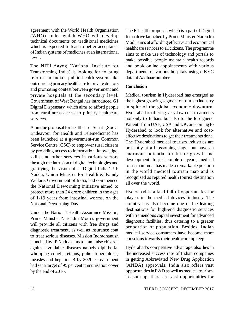agreement with the World Health Organisation (WHO) under which WHO will develop technical documents on traditional medicines which is expected to lead to better acceptance of Indian systems of medicines at an international level.

The NITI Aayog (National Institute for Transforming India) is looking for to bring reforms in India's public health system like outsourcing primary healthcare to private doctors and promoting contest between government and private hospitals at the secondary level. Government of West Bengal has introduced G1 Digital Dispensary, which aims to afford people from rural areas access to primary healthcare services.

A unique proposal for healthcare 'Sehat' (Social Endeavour for Health and Telemedicine) has been launched at a government-run Common Service Centre (CSC) to empower rural citizens by providing access to information, knowledge, skills and other services in various sectors through the intrusion of digital technologies and gratifying the vision of a 'Digital India.' J P Nadda, Union Minister for Health & Family Welfare, Government of India, had commenced the National Deworming initiative aimed to protect more than 24 crore children in the ages of 1-19 years from intestinal worms, on the National Deworming Day.

Under the National Health Assurance Mission, Prime Minister Narendra Modi's government will provide all citizens with free drugs and diagnostic treatment, as well as insurance coat to treat serious diseases. Mission Indradhanush launched by JP Nadda aims to immunise children against avoidable diseases namely diphtheria, whooping cough, tetanus, polio, tuberculosis, measles and hepatitis B by 2020. Government had set a target of 95 per cent immunisation cover by the end of 2016.

The E-health proposal, which is a part of Digital India drive launched by Prime Minister Narendra Modi, aims at affording effective and economical healthcare services to all citizens. The programme aims to make use of technology and portals to make possible people maintain health records and book online appointments with various departments of various hospitals using e-KYC data of Aadhaar number.

# **Conclusion**

Medical tourism in Hyderabad has emerged as the highest growing segment of tourism industry in spite of the global economic downturn. Hyderabad is offering very low-cost treatments not only to Indians but also to the foreigners. Patients from UAE, USA and UK, are coming to Hyderabad to look for alternative and costeffective destinations to get their treatments done. The Hyderabad medical tourism industries are presently at a blossoming stage, but have an enormous potential for future growth and development. In just couple of years, medical tourism in India has made a remarkable position in the world medical tourism map and is recognized as reputed health tourist destination all over the world.

Hyderabad is a land full of opportunities for players in the medical devices' industry. The country has also become one of the leading destinations for high-end diagnostic services with tremendous capital investment for advanced diagnostic facilities, thus catering to a greater proportion of population. Besides, Indian medical service consumers have become more conscious towards their healthcare upkeep.

Hyderabad's competitive advantage also lies in the increased success rate of Indian companies in getting Abbreviated New Drug Application (ANDA) approvals. India also offers vast opportunities in R&D as well as medical tourism. To sum up, there are vast opportunities for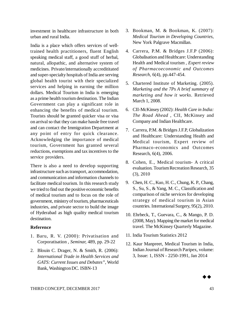investment in healthcare infrastructure in both urban and rural India.

India is a place which offers services of welltrained health practitioners, fluent English speaking medical staff, a good stuff of herbal, natural, allopathic, and alternative system of medicines. Private/internationally accredititated and super-specialty hospitals of India are serving global health tourist with their specialized services and helping in earning the million dollars. Medical Tourism in India is emerging as a prime health tourism destination. The Indian Government can play a significant role in enhancing the benefits of medical tourism. Tourists should be granted quicker visa or visa on arrival so that they can make hassle free travel and can contact the Immigration Department at any point of entry for quick clearance. Acknowledging the importance of medical tourism, Government has granted several reductions, exemptions and tax incentives to the service providers.

There is also a need to develop supporting infrastructure such as transport, accommodation, and communication and information channels to facilitate medical tourism. In this research study we tried to find out the positive economic benefits of medical tourism and to focus on the role of government, ministry of tourism, pharmaceuticals industries, and private sector to build the image of Hyderabad as high quality medical tourism destination.

# **Reference**

- 1. Baru, R. V. (2000): Privatisation and Corporatisation , *Seminar,* 489, pp. 29-22
- 2. Blouin C. Drager, N. & Smith, R. (2006): *International Trade in Health Services and GATS: Current Issues and Debates"*, World Bank, Washington DC. ISBN-13
- 3. Bookman, M. & Bookman, K. (2007): *Medical Tourism in Developing Countries*, New York Palgrave Macmillan.
- 4. Carrera, P.M. & Bridges J.F.P (2006): Globalisation and Healthcare: Understanding Health and Medical tourism , *Expert review of Pharmacoeconomic and Outcomes Research,* 6(4), pp.447-454.
- 5. Chartered Institute of Marketing. (2005). *Marketing and the 7Ps A brief summary of marketing and how it works*. Retrieved March 1, 2008.
- 6. CII-McKinsey (2002): *Health Care in India: The Road Ahead* , CII, McKinsey and Company and Indian Healthcare.
- 7. Carrera, P.M. & Bridges J.F.P, Globalization and Healthcare: Understanding Health and Medical tourism, Expert review of Pharmaco-economics and Outcomes Research, 6(4), 2006.
- 8. Cohen, E., Medical tourism- A critical evaluation. Tourism Recreation Research, 35 (3), 2010
- 9. Chen, H. C., Kuo, H. C., Chung, K. P., Chang, S., Su, S., & Yang, M. C., Classification and comparison of niche services for developing strategy of medical tourism in Asian countries. International Surgery, 95(2), 2010.
- 10. Ehrbeck, T., Guevara, C., & Mango, P. D. (2008, May). Mapping the market for medical travel. The McKinsey Quarterly Magazine.
- 11. India Tourism Statistics 2012
- 12. Kaur Manpreet, Medical Tourism in India, Indian Journal of Research Paripex, volume: 3, Issue: 1, ISSN - 2250-1991, Jan 2014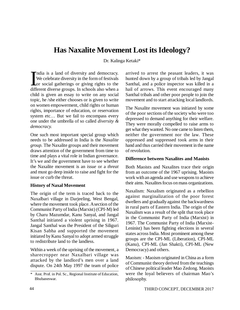# **Has Naxalite Movement Lost its Ideology?**

Dr. Kalinga Ketaki\*

 $\prod_{\text{diff}}$ ndia is a land of diversity and democracy. We celebrate diversity in the form of festivals or social gatherings or giving rights to the different diverse groups. In schools also when a child is given an essay to write on any social topic, he /she either chooses or is given to write on women empowerment, child rights or human rights, importance of education, or reservation system etc… But we fail to encompass every one under the umbrella of so called *diversity & democracy.*

One such most important special group which needs to be addressed in India is the *Naxalite group.* The Naxalite groups and their movement draws attention of the government from time to time and plays a vital role in Indian governance. It's we and the government have to see whether the Naxalite movement is an *issue* or a *threat* and must go deep inside to raise and fight for the issue or curb the threat.

#### **History of Naxal Movement**

The origin of the term is traced back to the Naxalbari village in Darjeeling, West Bengal, where the movement took place. A section of the Communist Party of India (Marxist) (CPI-M) led by Charu Mazumdar, Kanu Sanyal, and Jangal Santhal initiated a violent uprising in 1967. Jangal Santhal was the President of the Siliguri Kisan Sabha and supported the movement initiated by Kanu Sanyal to adopt armed struggle to redistribute land to the landless.

Within a week of the uprising of the movement, a sharecropper near Naxalbari village was attacked by the landlord's men over a land dispute. On 24th May 1997 the team of police arrived to arrest the peasant leaders, it was hunted down by a group of tribals led by Jangal Santhal, and a police inspector was killed in a hail of arrows. This event encouraged many Santhal tribals and other poor people to join the movement and to start attacking local landlords.

The Naxalite movement was initiated by some of the poor sections of the society who were too depressed to demand anything for their welfare. They were morally compelled to raise arms to get what they wanted. No one came to listen them, neither the government nor the law. These oppressed and suppressed took arms in their hand and thus carried their movement in the name of revolution.

#### **Difference between Naxalites and Maoists**

Both Maoists and Naxalites trace their origin from an outcome of the 1967 uprising. Maoists work with an agenda and use weapons to achieve their aims. Naxalites focus on mass organizations.

Naxalism: Naxalism originated as a rebellion against marginalization of the poor forest dwellers and gradually against the backwardness in rural parts of Eastern India. The origin of the Naxalism was a result of the split that took place in the Communist Party of India (Marxist) in 1967. The Communist Party of India (Marxist-Leninist) has been fighting elections in several states across India. Most prominent among these groups are the CPI-ML (Liberation), CPI-ML (Kanu), CPI-ML (Jan Shakti), CPI-ML (New Democracy) and others.

Maoism: - Maoism originated in China as a form of Communist theory derived from the teachings of Chinese political leader Mao Zedong. Maoists were the loyal believers of chairman Mao's philosophy.

<sup>\*</sup> Asst. Prof. in Pol. Sc., Regional Institute of Education, Bhubaneswar.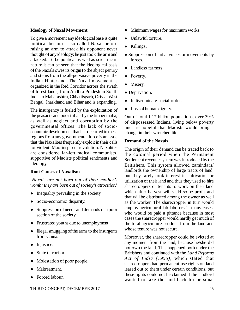#### **Ideology of Naxal Movement**

To give a movement any ideological base is quite political because a so-called Naxal before raising an arm to attack his opponent never thought of any ideology; he just took the arm and attacked. To be political as well as scientific in nature it can be seen that the ideological basis of the Naxals owes its origin to the abject penury and stems from the all-pervasive poverty in the Indian Hinterland. The Naxal movement is organized in the Red Corridor across the swath of forest lands, from Andhra Pradesh in South India to Maharashtra, Chhattisgarh, Orissa, West Bengal, Jharkhand and Bihar and is expanding.

The insurgency is fueled by the exploitation of the peasants and poor tribals by the timber mafia, as well as neglect and corruption by the governmental offices. The lack of socioeconomic development that has occurred in these regions from any governmental force is an issue that the Naxalites frequently exploit in their calls for violent, Mao-inspired, revolution. Naxalites are considered far-left radical communists, supportive of Maoists political sentiments and ideology.

#### **Root Causes of Naxalism**

'*Naxals are not born out of their mother's womb; they are born out of society's atrocities*.'

- Inequality prevailing in the society.
- Socio-economic disparity.
- Suppression of needs and demands of a poor section of the society.
- Frustrated youths due to unemployment.
- Illegal smuggling of the arms to the insurgents from China.
- Injustice.
- State terrorism.
- Molestation of poor people.
- Maltreatment.
- Forced labour.
- Minimum wages for maximum works.
- Unlawful torture.
- Killings.
- Suppression of initial voices or movements by forces.
- Landless farmers.
- Poverty.
- Misery.
- Deprivation.
- Indiscriminate social order.
- Loss of human dignity.

Out of total 1.17 billion populations, over 39% of dispossessed Indians, living below poverty line are hopeful that Maoists would bring a change in their wretched life.

#### **Demand of the Naxals**

The origin of their demand can be traced back to the colonial period when the Permanent Settlement revenue system was introduced by the Britishers. This system allowed zamindars/ landlords the ownership of large tracts of land, but they rarely took interest in cultivation or utilization of their land and thus they used to hire sharecroppers or tenants to work on their land which after harvest will yield some profit and that will be distributed among the owner as well as the worker. The sharecropper in turn would employ agricultural lab laborers in many cases, who would be paid a pittance because in most cases the sharecropper would hardly get much of the total agriculture produce from the land and whose tenure was not secure.

Moreover, the sharecropper could be evicted at any moment from the land, because he/she did not own the land. This happened both under the Britishers and continued with the *Land Reforms Act of India (1955),* which stated that sharecroppers had permanent use rights on land leased out to them under certain conditions, but these rights could not be claimed if the landlord wanted to take the land back for personal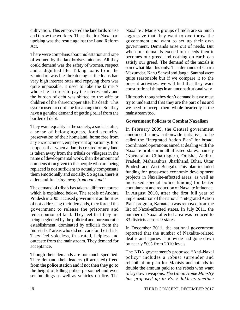cultivation. This empowered the landlords to use and throw the workers. Thus, the first Naxalbari uprising was the result against the Land Reform Act.

There were complains about molestation and rape of women by the landlords/zamindars. All they could demand was the safety of women, respect and a dignified life. Taking loans from the zamindars was life-threatening as the loans had very high interest rates and repaying them was quite impossible, it used to take the farmer's whole life in order to pay the interest only and the burden of debt was shifted to the wife or children of the sharecropper after his death. This system used to continue for a long time. So, they have a genuine demand of getting relief from the burden of debt.

They want equality in the society, a social status, a sense of belongingness, food security, preservation of their homeland, home free from any encroachment, employment opportunity. It so happens that when a dam is created or any land is taken away from the tribals or villagers in the name of developmental work, then the amount of compensation given to the people who are being replaced is not sufficient to actually compensate them emotionally and socially. So again, there is a demand for '*stay away from our land.*'

The demand of tribals has taken a different course which is explained below. The rebels of Andhra Pradesh in 2005 accused government authorities of not addressing their demands, they forced the government to release the prisoners and redistribution of land. They feel that they are being neglected by the political and bureaucratic establishment, dominated by officials from the 'non-tribal' areas who did not care for the tribals. They feel voiceless, frustrated, helpless and outcaste from the mainstream. They demand for acceptance.

Though their demands are not much specified. They demand their leaders (if arrested) freed from the police station and if not then they go to the height of killing police personnel and even set buildings as well as vehicles on fire. The Naxalite / Maoists groups of India are so much aggressive that they want to overthrow the government and want to set up their own government. Demands arise out of needs. But when our demands exceed our needs then it becomes our greed and nothing on earth can satisfy our greed. The demand of the naxals is somewhat like this only. The demands of Charu Mazumdar, Kanu Sanyal and Jangal Santhal were quite reasonable but if we compare it to the present activities, we will find that they want constitutional things in an unconstitutional way.

Ultimately though they don't demand but we must try to understand that they are the part of us and we need to accept them whole-heartedly in the mainstream too.

#### **Government Policies to Combat Naxalism**

In February 2009, the Central government announced a new nationwide initiative, to be called the "Integrated Action Plan" for broad, coordinated operations aimed at dealing with the Naxalite problem in all affected states, namely (Karnataka, Chhattisgarh, Odisha, Andhra Pradesh, Maharashtra, Jharkhand, Bihar, Uttar Pradesh and West Bengal). This plan included funding for grass-root economic development projects in Naxalite-affected areas, as well as increased special police funding for better containment and reduction of Naxalite influence. In August 2010, after the first full year of implementation of the national "Integrated Action Plan" program, Karnataka was removed from the list of Naxal-affected states. In July 2011, the number of Naxal affected area was reduced to 83 districts across 9 states.

In December 2011, the national government reported that the number of Naxalite-related deaths and injuries nationwide had gone down by nearly 50% from 2010 levels.

The NDA government's proposed "Anti-Naxal policy" includes a robust surrender and rehabilitation plan for Maoists and intends to double the amount paid to the rebels who want to lay down weapons. *The Union Home Ministry has proposed up to Rs. 5 lakh as onetime*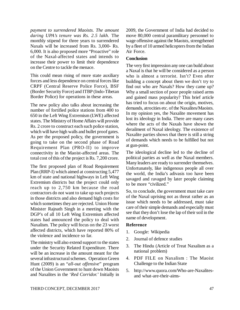*payment to surrendered Maoists. The amount daring UPA's tenure was Rs. 2.5 lakh.* The monthly stipend for three years to surrendered Naxals will be increased from Rs. 3,000- Rs. 6,000. It is also proposed more "Proactive" role of the Naxal-affected states and intends to increase their power to limit their dependence on the Centre to tackle the menace.

This could mean rising of more state auxiliary forces and less dependence on central forces like CRPF (Central Reserve Police Force), BSF (Border Security Force) and ITBP (Indo-Tibetan Border Police) for operations in these areas.

The new policy also talks about increasing the number of fortified police stations from 400 to 650 in the Left Wing Extremism (LWE) affected states. The Ministry of Home Affairs will provide Rs. 2 crore to construct each such police station, which will have high walls and bullet proof gates. As per the proposed policy, the government is going to take on the second phase of Road Requirement Plan (PRO-II) to improve connectivity in the Maoist-affected areas. The total cost of this of the project is Rs. 7,200 crore.

The first proposed plan of Road Requirement Plan (RRP-I) which aimed at constructing 5,477 km of state and national highways in Left Wing Extremism districts but the project could only reach up to 2,750 km because the road contractors do not want to take up such projects in those districts and also demand high costs for which sometimes they are rejected. Union Home Minister Rajnath Singh in a meeting with the DGP's of all 10 Left Wing Extremism affected states had announced the policy to deal with Naxalism. The policy will focus on the 23 worst affected districts, which have reported 80% of the violence and incidence so far.

The ministry will also extend support to the states under the Security Related Expenditure. There will be an increase in the amount meant for the several infrastructural schemes. Operation Green Hunt (2009) is an "*all-out offensive*" program of the Union Government to hunt down Maoists and Naxalites in the '*Red Corridor.*' Initially in

2009, the Government of India had decided to move 80,000 central paramilitary personnel to wage offensive against the Maoists, strengthened by a fleet of 10 armed helicopters from the Indian Air Force.

#### **Conclusion**

The very first impression any one can build about a Naxal is that he will be considered as a person who is almost a terrorist. Isn't? Even after building a concept about them we don't try to find out who are Naxals? How they came up? Why a small section of poor people raised arms and gained mass popularity? This brief article has tried to focus on about the origin, motives, demands, atrocities etc. of the Naxalites/Maoists. In my opinion yes, the Naxalite movement has lost its ideology in India. There are many cases where the acts of the Naxals have shown the derailment of Naxal ideology. The existence of Naxalite parties shows that there is still a string of demands which needs to be fulfilled but not at gun-point.

The ideological decline led to the decline of political parties as well as the Naxal members. Many leaders are ready to surrender themselves. Unfortunately, like indigenous people all over the world, the India's adivasis too have been savaged and ravaged by later people claiming to be more "civilized."

So, to conclude, the government must take care of the Naxal uprising not as threat rather as an issue which needs to be addressed, must take care of their simple demands and especially must see that they don't lose the lap of their soil in the name of development.

#### **Reference**

- 1. Google: Wikipedia
- 2. Journal of defence studies
- 3. The Hindu (Article of Treat Naxalism as a national problem)
- 4. PDF FILE on Naxalism : The Maoist Challenge to the Indian State
- 5. [http://www.quora.com/Who-are-Naxalites](http://www.quora.com/Who-are-Naxalites-)and what-are-their-aims-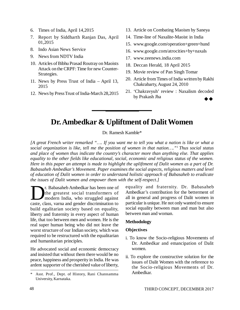- 6. Times of India, April 14,2015
- 7. Report by Siddharth Ranjan Das, April 01,2015
- 8. Indo Asian News Service
- 9. News from NDTV India
- 10. Articles of Bibhu Prasad Routray on Maoists Attack on the CRPF: Time for new Counter-Strategies.
- 11. News by Press Trust of India April 13, 2015
- 12. News by Press Trust of India-March 28,2015
- 13. Article on Combating Maoism by Saneya
- 14. Time-line of Naxalite-Maoist in India
- 15. [www.google.com/operation+green+hund](http://www.google.com/operation+green+hund)
- 16. [www.google.com/atrocities+by+naxals](http://www.google.com/atrocities+by+naxals)
- 17. [www.zeenews.india.com](http://www.zeenews.india.com)
- 18. Deccan Herald, 18 April 2015
- 19. Movie review of Pan Singh Tomar
- 20. Article from Times of India written by Rakhi Chakrabarty, August 24, 2010
- 21. 'Chakravyuh' review : Naxalism decoded by Prakash Jha

# **Dr. Ambedkar & Upliftment of Dalit Women**

Dr. Ramesh Kamble\*

*[A great French writer remarked "…. If you want me to tell you what a nation is like or what a social organization is like, tell me the position of women in that nation…."<sup>1</sup>Thus social status and place of women thus indicate the country's character more than anything else. That applies equality to the other fields like educational, social, economic and religious status of the women. Here in this paper an attempt is made to highlight the upliftment of Dalit women as a part of Dr. Babasaheb Ambedkar's Movement. Paper examines the social aspects, religious matters and level of education of Dalit women in order to understand holistic approach of Babasaheb to eradicate the issues of Dalit women and empower them with the self-respect.]*

T. Babasaheb Ambedkar has been one of<br>the greatest social transformers of<br>modern India, who struggled against<br>caste, class, varna and gender discrimination to r. Babasaheb Ambedkar has been one of the greatest social transformers of modern India, who struggled against build egalitarian society based on equality, liberty and fraternity in every aspect of human life, that too between men and women. He is the real super human being who did not leave the worst structure of our Indian society, which was required to be restructured with the equalitarian and humanitarian principles.

He advocated social and economic democracy and insisted that without them there would be no peace, happiness and prosperity in India. He was ardent supporter of the cherished value of liberty, equality and fraternity. Dr. Babasaheb Ambedkar's contribution for the betterment of all in general and progress of Dalit women in particular is unique. He not only wanted to ensure social equality between man and man but also between man and woman.

#### **Methodology**

#### **Objectives**

- i. To know the Socio-religious Movements of Dr. Ambedkar and emancipation of Dalit women.
- ii. To explore the constructive solution for the issues of Dalit Women with the reference to the Socio-religious Movements of Dr. Ambedkar.

<sup>\*</sup> Asst. Prof., Dept. of History, Rani Channamma University, Karnataka.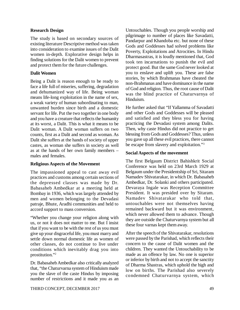#### **Research Design**

The study is based on secondary sources of existing literature Descriptive method was taken into consideration to examine issues of the Dalit women in-depth. Explorative design helps in finding solutions for the Dalit women to prevent and protect them for the future challenges.

### **Dalit Women**

Being a Dalit is reason enough to be ready to face a life full of miseries, suffering, degradation and dehumanized way of life. Being woman means life-long exploitation in the name of sex, a weak variety of human subordinating to man, unwanted burden since birth and a domestic servant for life. Put the two together in one body and you have a creature that reflects the humanity at its worst, a Dalit. This is what it means to be Dalit woman. A Dalit woman suffers on two counts, first as a Dalit and second as woman. As Dalit she suffers at the hands of society of upper castes, as woman she suffers in society as well as at the hands of her own family members – males and females.

#### **Religious Aspects of the Movement**

The impassioned appeal to cast away evil practices and customs among certain sections of the depressed classes was made by Dr. Babasaheb Ambedkar at a meeting held at Bombay in 1936, which was largely attended by men and women belonging to the Devadasi patraje, Bhute, Aradhi communities and held to accord support to mass conversion.

"Whether you change your religion along with us, or not it does not matter to me. But I insist that if you want to be with the rest of us you must give up your disgraceful life, you must marry and settle down normal domestic life as women of other classes, do not continue to live under conditions which inevitably drag you into prostitution."<sup>2</sup>

Dr. Babasaheb Ambedkar also critically analyzed that, "the Chaturvarna system of Hinduism made you the slave of the caste Hindus by imposing number of restrictions and it made you as an Untouchables. Though you people worship and pilgrimage to number of places like Savadatti, Pandarpur and Khandoba etc. but none of these Gods and Goddesses had solved problems like Poverty, Exploitations and Atrocities. In Hindu Dharmasastras, it is loudly mentioned that, God took ten incarnations to punish the evil and protect good. But the same God never looked at you to enslave and uplift you. These are false stories, by which Brahmanas have cheated the non-Brahmanas and have dominance in the name of God and religion. Thus, the root cause of Dalit was the blind practice of Chaturvarnya of Hinduism.

He further asked that "If Yallamma of Savadatti and other Gods and Goddesses will be pleased and satisfied and they bless you for having practicing the Devadasi system among Dalits. Then, why caste Hindus did not practice to get blessing from Gods and Goddesses? Thus, unless you gave up all these evil practices, there cannot be escape from slavery and exploitation."<sup>3</sup>

### **Social Aspects of the movement**

The first Belgaum District Bahishkrit Social Conference was held on 23rd March 1929 at Belgaum under the Presidentship of Sri, Sitaram Namadev Shivatarakar, in which Dr. Babasaheb Ambedkar, Dr. Solanki and others participated. Devaraya Ingale was Reception Committee President. It was presided over by Sitaram. Namadev Shivatarakar who told that, untouchables were not themselves having remained backward but it was environment, which never allowed them to advance. Though they are outside the Chaturvarnya system but all these four varnas kept them away.

After the speech of the Shivatarakar, resolutions were passed by the Parishad, which reflects their concern to the cause of Dalit women and the children. They wanted the Untouchability to be made as an offence by law. No one is superior or inferior by birth and not to accept the sanctity of Dharma Shastras, which uphold the high and low on births. The Parishad also severely condemned Chaturvarnya system, which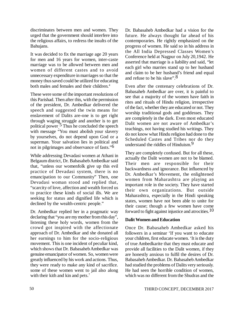discriminates between men and women. They urged that the government should interfere into the religious affairs, to redress the insults of the Bahujans.

It was decided to fix the marriage age 20 years for men and 16 years for women, inter-caste marriage was to be allowed between men and women of different castes and to avoid unnecessary expenditure in marriages so that the money thus saved could be utilized for educating both males and females and their children.<sup>4</sup>

These were some of the important resolutions of this Parishad. Then after this, with the permission of the president, Dr. Ambedkar delivered the speech and suggested the twin means for enslavement of Dalits are-one is to get right through waging struggle and another is to get political power . 5 Thus he concluded the speech with message "You must abolish your slavery by yourselves, do not depend upon God or a superman. Your salvation lies in political and not in pilgrimages and observance of fasts."6

While addressing Devadasi women at Athani in Belgaum district, Dr. Babasaheb Ambedkar said that, "unless our womenfolk give up this evil practice of Devadasi system, there is no emancipation to our Community" Then, one Devadasi woman stood and replied that, "scarcity of love, affection and wealth forced us to practice these kinds of social ills. We are seeking for status and dignified life which is declined by the wealth-centric people."

Dr. Ambedkar replied her in a pragmatic way declaring that "you are my mother from this day", listening these holy words, women from the crowd got inspired with the affectionate approach of Dr. Ambedkar and she donated all her earnings to him for the socio-religious movement. This is one incident of peculiar kind, which shows that Dr. Babasaheb Ambedkar was genuine emancipator of women. So, women were greatly influenced by his work and actions. Thus, they were ready to make any kind of sacrifice. some of these women went to jail also along with their kith and kin and pets.<sup>7</sup>

Dr. Babasaheb Ambedkar had a vision for the future. He always thought far ahead of his contemporaries. He rightly emphasized on the progress of women. He said so in his address in the All India Depressed Classes Women's Conference held at Nagpur on July 20,1942. He asserted that marriage is a liability and said, "let each girl who marries stand up to her husband and claim to be her husband's friend and equal and refuse to be his slave".8

Even after the centenary celebrations of Dr. Babasaheb Ambedkar are over, it is painful to see that a majority of the women have faith in rites and rituals of Hindu religion, irrespective of the fact, whether they are educated or not. They worship traditional gods and goddesses. They are completely in the dark. Even most educated Dalit women are not aware of Ambedkar's teachings, not having studied his writings. They do not know what Hindu religion had done to the Scheduled Castes and Tribes nor do they understand the riddles of Hinduism.<sup>9</sup>

They are completely confused. But for all these, actually the Dalit women are not to be blamed. Their men are responsible for their backwardness and ignorance. But influenced by Dr. Ambedkar's Movement, the enlightened women from Maharashtra are playing an important role in the society. They have started their own organizations. But outside Maharashtra, especially in the Hindi speaking states, women have not been able to unite for their cause; though a few women have come forward to fight against injustice and atrocities.  $10$ 

#### **Dalit Women and Education**

Once Dr. Babasaheb Ambedkar asked his followers in a seminar 'If you want to educate your children, first educate women. 'It is the duty of true Ambedkarite that they must educate and provide all facilities to the Dalit women, if they are honestly anxious to fulfil the desires of Dr. Babasaheb Ambedkar. Dr. Babasaheb Ambedkar had studied the problems of Dalits very seriously. He had seen the horrible condition of women, which was no different from the Shudras and the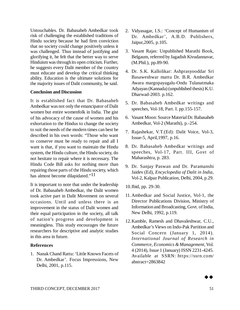Untouchables. Dr. Babasaheb Ambedkar took risk of challenging the established traditions of Hindu society because he had firm conviction that no society could change positively unless it was challenged. Thus instead of justifying and glorifying it, he felt that the better way to serve Hinduism was through its open criticism. Further, he suggests every Dalit member of the country must educate and develop the critical thinking ability. Education is the ultimate solutions for the majority issues of Dalit community, he said.

#### **Conclusion and Discussion**

It is established fact that Dr. Babasaheb Ambedkar was not only the emancipator of Dalit women but entire womenfolk in India. The gist of his advocacy of the cause of women and his exhortation to the Hindus to change the society to suit the needs of the modern times can best be described in his own words: "Those who want to conserve must be ready to repair and all I want is that, if you want to maintain the Hindu system, the Hindu culture, the Hindu society, do not hesitate to repair where it is necessary. The Hindu Code Bill asks for nothing more than repairing those parts of the Hindu society, which has almost become dilapidated."<sup>11</sup>

It is important to note that under the leadership of Dr. Babasaheb Ambedkar, the Dalit women took active part in Dalit Movement on several occasions. Until and unless there is an improvement in the status of Dalit women and their equal participation in the society, all talk of nation's progress and development is meaningless. This study encourages the future researchers for descriptive and analytic studies in this area in future.

#### **References**

1. Nanak Chand Rattu: 'Little Known Facets of Dr. Ambedkar'. Focus Impressions, New Delhi, 2001, p.115.

- 2. Vidyasagar, I.S.: 'Concept of Humanism of Dr. Ambedkar', A.B.D. Publishers, Jaipur,2005, p.105.
- 3. Vasant Rajas: Unpublished Marathi Book, Belgaum, referred by Jagadish Kivudannavar, (M.Phil.), pp.89-90.
- 4. Dr. S.K. Kallolikar: Ashprasyooddar Sri Basaweshwar mattu Dr. B.R. Ambedkar Awara margopayagalu-Ondu Tulanatmaka Adyayan (Kannada) (unpublished thesis) K.U. Dharwad-2003. p.162.
- 5. Dr. Babasaheb Ambedkar writings and speeches, Vol-18, Part. I. pp.155-157.
- 6. Vasant Moon: Source Material Dr. Babasaheb Ambedkar, Vol-2 (Marathi), p.-254.
- 7. Rajashekar, V.T.(Ed): Dalit Voice, Vol-3, Issue-5, April,1997, p.16.
- 8. Dr. Babasaheb Ambedkar writings and speeches, Vol-17, Part. III, Govt of Maharashtra, p. 283.
- 9. Dr. Sanjay Paswan and Dr. Paramanshi Jaidev (Ed), *Encyclopedia of Dalit in India*, Vol-2, Kalpaz Publication, Delhi, 2004, p.29.
- 10.Ibid, pp. 29-30.
- 11.Ambedkar and Social Justice, Vol-1, the Director Publications Division, Ministry of Information and Broadcasting, Govt. of India, New Delhi, 1992, p.119.
- 12.Kamble, Ramesh and Dhavaleshwar, C.U., Ambedkar's Views on Indo-Pak Partition and Social Concern (January 1, 2014). *International Journal of Research in Commerce, Economics & Management*, Vol. 4 (2014), Issue 1 (January) ISSN 2231-4245. Available at SSRN: https://ssrn.com/ abstract=2863842

 $\blacktriangleright\blacktriangle$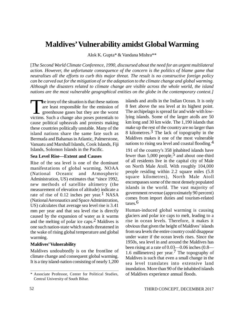# **Maldives' Vulnerability amidst Global Warming**

Alok K. Gupta\* & Vandana Mishra\*\*

[*The Second World Climate Conference, 1990, discoursed about the need for an urgent multilateral action. However, the unfortunate consequence of the concern is the politics of blame game that neutralises all the efforts to curb this major threat. The result is no constructive foreign policy can be carved out for the mitigation of or the adaptation to the climate change and global warming. Although the disasters related to climate change are visible across the whole world, the island nations are the most vulnerable geographical entities on the globe in the contemporary context.]*

The irony of the situation is that these nations<br>are least responsible for the emission of<br>greenhouse gases but they are the worst<br>victims. Such a change also poses potentials to **The irony of the situation is that these nations** are least responsible for the emission of greenhouse gases but they are the worst cause political upheavals and protests making these countries politically unstable. Many of the island nations share the same fate such as Bermuda and Bahamas in Atlantic, Palmerstone, Vanuatu and Marshall Islands, Cook Islands, Fiji Islands, Solomon Islands in the Pacific.

#### **Sea Level Rise—Extent and Causes**

Rise of the sea level is one of the dominant manifestations of global warming. NOAA (National Oceanic and Atmospheric Administration, US) estimates that "since 1992, new methods of satellite altimetry (the measurement of elevation of altitude) indicate a rate of rise of 0.12 inches per year.<sup>1</sup> NASA (National Aeronautics and Space Administration, US) calculates that average sea level rise is 3.41 mm per year and that sea level rise is directly caused by the expansion of water as it warms and the melting of polar ice caps.2 Maldives is one such nation-state which stands threatened in the wake of rising global temperature and global warming.

# **Maldives' Vulnerability**

Maldives undoubtedly is on the frontline of climate change and consequent global warming. It is a tiny island-nation consisting of nearly 1,200

islands and atolls in the Indian Ocean. It is only 8 feet above the sea level at its highest point. The archipelago is spread far and wide with lowlying islands. Some of the larger atolls are 50 km long and 30 km wide. The 1,190 islands that make up the rest of the country are no larger than 8 kilometres.3 The lack of topography in the Maldives makes it one of the most vulnerable nations to rising sea level and coastal flooding.<sup>4</sup>

191 of the country's 358 inhabited islands have fewer than  $5,000$  people,<sup>5</sup> and about one-third of all residents live in the capital city of Male on North Male Atoll. With roughly 104,000 people residing within 2.2 square miles (5.8 square kilometres), North Male Atoll encompasses some of the most densely populated islands in the world. The vast majority of government revenue (approximately 90 percent) comes from import duties and tourism-related taxes.6

Human-induced global warming is causing glaciers and polar ice caps to melt, leading to a rise in ocean levels. Therefore, it makes it obvious that given the height of Maldives' islands from sea levels the entire country could disappear under water if the ocean levels rises. Since the 1950s, sea level in and around the Maldives has been rising at a rate of 0.03—0.06 inches (0.8— 1.6 millimetres) per year.<sup>7</sup> The topography of Maldives is such that even a small change in the sea level translates into extensive land inundation. More than 90 of the inhabited islands of Maldives experience annual floods.

<sup>\*</sup> Associate Professor, Center for Political Studies, Central University of South Bihar.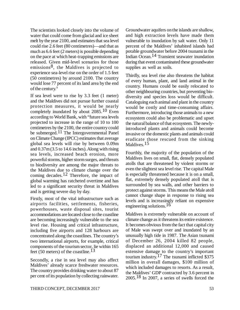The scientists looked closely into the volume of water that could come from glacial and ice sheet melt by the year 2100, and estimates that sea level could rise 2.6 feet (80 centimetres)—and that as much as 6.6 feet (2 meters) is possible depending on the pace at which heat-trapping emissions are released. Given mid-level scenarios for those emissions<sup>8</sup>, the Maldives is projected to experience sea-level rise on the order of 1.5 feet (50 centimetres) by around 2100. The country would lose 77 percent of its land area by the end of the century.<sup>9</sup>

If sea level were to rise by 3.3 feet (1 meter) and the Maldives did not pursue further coastal protection measures, it would be nearly completely inundated by about  $2085$ .<sup>10</sup> Even according to World Bank, with "future sea levels projected to increase in the range of 10 to 100 centimetres by the 2100, the entire country could be submerged.<sup>11</sup> The Intergovernmental Panel on Climate Change (IPCC) estimates that average global sea levels will rise by between 0.09m and 0.37m (3.5 to 14.6 inches). Along with rising sea levels, increased beach erosion, more powerful storms, higher storm surges, and threats to biodiversity are among the major threats to the Maldives due to climate change over the coming decades.<sup>12</sup> Therefore, the impact of global warming has ratcheted overtime and has led to a significant security threat in Maldives and is getting severe day by day.

Firstly, most of the vital infrastructure such as airports facilities, settlements, fisheries, powerhouses, waste disposal sites, tourist accommodations are located close to the coastline are becoming increasingly vulnerable to the sea level rise. Housing and critical infrastructure, including five airports and 128 harbours are concentrated along the coastlines. The country's two international airports, for example, critical components of the tourism sector, lie within 165 feet (50 meters) of the coastline.<sup>13</sup>

Secondly, a rise in sea level may also affect Maldives' already scarce freshwater resources. The country provides drinking water to about 87 per cent of its population by collecting rainwater. Groundwater aquifers on the islands are shallow, and high extraction levels have made them vulnerable to inundation by salt water. Only 11 percent of the Maldives' inhabited islands had potable groundwater before 2004 tsunami in the Indian Ocean.14 Transient seawater inundation during that event contaminated these groundwater supplies as well as soils.

Thirdly, sea level rise also threatens the habitat of every human, plant, and land animal in the country. Humans could be easily relocated to other neighbouring countries, but preventing biodiversity and species loss would be difficult. Cataloguing each animal and plant in the country would be costly and time-consuming affairs. Furthermore, introducing those animals to a new ecosystem could also be problematic and upset the natural balance of that ecosystem. The newlyintroduced plants and animals could become invasive or the domestic plants and animals could eradicate those rescued from the sinking Maldives.<sup>15</sup>

Fourthly, the majority of the population of the Maldives lives on small, flat, densely populated atolls that are threatened by violent storms or even the slightest sea level rise. The capital Male is especially threatened because it is on a small, flat, extremely densely populated atoll that is surrounded by sea walls, and other barriers to protect against storms. This means the Male atoll cannot change shape in response to rising sea levels and is increasingly reliant on expensive engineering solutions.16

Maldives is extremely vulnerable on account of climate change as it threatens its entire existence. It becomes obvious from the fact that capital city of Male was swept over and inundated by an unusually high tide in 1987. The Asian tsunami of December 26, 2004 killed 82 people, displaced an additional 12,000 and caused extensive damage to the country's important tourism industry.17 The tsunami inflicted \$375 million in overall damages, \$100 million of which included damages to resorts. As a result, the Maldives' GDP contracted by 3.6 percent in 2005.18 In 2007, a series of swells forced the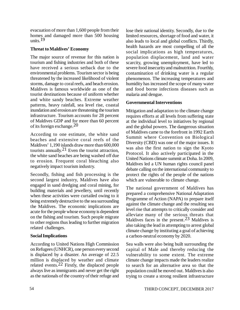evacuation of more than 1,600 people from their homes and damaged more than 500 housing units.<sup>19</sup>

# **Threat to Maldives' Economy**

The major source of revenue for this nation is tourism and fishing industries and both of these have received a serious setback due to the environmental problems. Tourism sector is being threatened by the increased likelihood of violent storms, damage to coral reefs, and beach erosion. Maldives is famous worldwide as one of the tourist destinations because of uniform whether and white sandy beaches. Extreme weather patterns, heavy rainfall, sea level rise, coastal inundation and erosion are threatening the tourism infrastructure. Tourism accounts for 28 percent of Maldives GDP and for more than 60 percent of its foreign exchange.  $20$ 

According to one estimate, the white sand beaches and extensive coral reefs of the Maldives' 1,190 islands draw more than 600,000 tourists annually.<sup>21</sup> Even the tourist attraction, the white sand beaches are being washed off due to erosion. Frequent coral bleaching also negatively impact tourism industry.

Secondly, fishing and fish processing is the second largest industry, Maldives have also engaged in sand dredging and coral mining, for building materials and jewellery, until recently when these activities were curtailed owing to it being extremely destructive to the sea surrounding the Maldives. The economic implications are acute for the people whose economy is dependent on the fishing and tourism. Such people migrate to other regions thus leading to further migration related challenges.

# **Social Implications**

According to United Nations High Commission on Refugees (UNHCR), one person every second is displaced by a disaster. An average of 22.5 million is displaced by weather and climate related events.22 Firstly, the displaced people always live as immigrants and never get the right as the nationals of the country of their refuge and

lose their national identity. Secondly, due to the limited resources, shortage of food and water, it also leads to local and global conflicts. Thirdly, health hazards are most compelling of all the social implications as high temperatures, population displacement, land and water scarcity, growing unemployment, have led to severe food insecurity and malnutrition. Fourthly, contamination of drinking water is a regular phenomenon. The increasing temperatures and humidity has increased the scope of many water and food borne infections diseases such as malaria and dengue.

# **Governmental Interventions**

Mitigation and adaptation to the climate change requires efforts at all levels from suffering state at the individual level to initiatives by regional and the global powers. The dangerous situation of Maldives came to the forefront in 1992 Earth Summit where Convention on Biological Diversity (CBD) was one of the major issues. It was also the first nation to sign the Kyoto Protocol. It also actively participated in the United Nations climate summit at Doha. In 2009, Maldives led a UN human rights council panel debate calling on the international community to protect the rights of the people of the nations which are vulnerable to climate change.

The national government of Maldives has prepared a comprehensive National Adaptation Programme of Action (NAPA) to prepare itself against the climate change and the resulting sea level rise that attempts to critically consider and alleviate many of the serious threats that Maldives faces in the present.23 Maldives is also taking the lead in attempting to arrest global climate change by instituting a goal of achieving a carbon-neutral economy by 2020.

Sea walls were also being built surrounding the capital of Male and thereby reducing the vulnerability to some extent. The extreme climate change impacts made the leaders realize to search for an alternative area so that the population could be moved out. Maldives is also trying to create a strong resilient infrastructure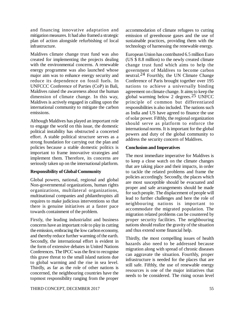and financing innovative adaptation and mitigation measures. It had also framed a strategic plan of action alongside refurbishing of local infrastructure.

Maldives climate change trust fund was also created for implementing the projects dealing with the environmental concerns. A renewable energy programme was also launched whose major aim was to enhance energy security and reduce its dependence on fossil fuels. In UNFCCC Conference of Parties (CoP) in Bali, Maldives raised the awareness about the human dimension of climate change. In this way, Maldives is actively engaged in calling upon the international community to mitigate the carbon emissions.

Although Maldives has played an important role to engage the world on this issue, the domestic political instability has obstructed a concerted effort. A stable political structure serves as a strong foundation for carrying out the plan and policies because a stable domestic politics is important to frame innovative strategies and implement them. Therefore, its concerns are seriously taken up on the international platform.

#### **Responsibility of Global Community**

Global powers, national, regional and global Non-governmental organizations, human rights organizations, multilateral organizations, multinational companies and philanthropists all requires to make judicious interventions so that there is genuine initiatives at a faster pace towards containment of the problem.

Firstly, the leading industrialist and business concerns have an important role to play in cutting the emission, embracing the low carbon economy, and thereby reduce further warming of the earth. Secondly, the international effort is evident in the form of extensive debates in United Nations Conferences. The IPCC was the first to recognise this grave threat to the small island nations due to global warming and the rise in sea level. Thirdly, as far as the role of other nations is concerned, the neighbouring countries have the topmost responsibility ranging from the proper accommodation of climate refugees to cutting emission of greenhouse gases and the use of sustainable practices, providing them with the technology of harnessing the renewable energy.

European Union has contributed 6.5 million Euro (US \$ 8.8 million) to the newly created climate change trust fund which aims to help the government of Maldives to become carbon neutral.<sup>24</sup> Fourthly, the UN Climate Change Conference of Paris brought together over 195 nations to achieve a universally binding agreement on climate change. It aims to keep the global warming below 2 degrees.25 UNFCC principle of common but differentiated responsibilities is also included. The nations such as India and US have agreed to finance the use of solar power. Fifthly, the regional organization should serve as platform to enforce the international norms. It is important for the global powers and duty of the global community to address the security concern of Maldives.

# **Conclusion and Imperatives**

The most immediate imperative for Maldives is to keep a close watch on the climate changes that are taking place and their impacts, in order to tackle the related problems and frame the policies accordingly. Secondly, the places which are most susceptible should be evacuated and proper and safe arrangements should be made for such people. The displacement of people will lead to further challenges and here the role of neighbouring nations is important to accommodate the migrated population. The migration related problems can be countered by proper security facilities. The neighbouring nations should realize the gravity of the situation and thus extend some financial help.

Thirdly, the most compelling issues of health hazards also need to be addressed because migration along with spread of chronic diseases can aggravate the situation. Fourthly, proper infrastructure is needed for the places that are still safe. Fifthly, the use of renewable energy resources is one of the major initiatives that needs to be considered. The rising ocean level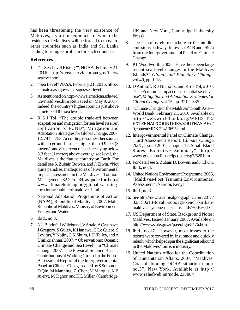has been threatening the very existence of Maldives, as a consequence of which the residents of Maldives will be forced to move to other countries such as India and Sri Lanka leading to refugee problem for such countries.

# **References**

- 1. "Is Sea Level Rising?", NOAA, February 21, 2016. <http://oceanservice.noaa.gov/facts/> sealevel.html
- 2. "Sea Level" *NASA*, February 21, 2016.<http://> climate.nasa.gov/vital-signs/sea-level
- 3. As mentioned on<http://www1.american.edu/ted/> ice/maldives.htm Retrieved on May 9, 2017. Indeed, the country's highest point is just above 3 meters of the sea levels.
- 4. R S J Tol, "The double trade-off between adaptation and mitigation for sea level rise: An application of FUND", Mitigation and Adaptation Strategies for Global Change, 2007, 12: 741—753. According to some other source, with no ground surface higher than 9.9 feet (3 meters), and 80 percent of land area lying below 3.3 feet (1 meter) above average sea level, the Maldives is the flattest country on Earth. For detail see S. Zubair, Bowen, and J. Elwin, "Not quite paradise: Inadequacies of environmental impact assessment in the Maldives", Tourism Management, 32:225-234; as quoted on<http://> [www.climatehotmap.org/global-warming](http://www.climatehotmap.org/global-warming-)locations/republic-of-maldives.html
- 5. National Adaptation Programme of Action (NAPA), Republic of Maldives, 2007. Male, Republic of Maldives: Ministry of Environment, Energy and Water.
- 6. Ibid., no.3.
- 7. N L Bindoff, J Willebrand, V Artale, A Czaenave, J Gregory, S Gulev, K Hanawa, C Le Quere, S Levitus, Y Nojiri, C K Shum, L D Talley, and A Unnikrishnan, 2007, " Observations: Oceanic Climate Change and Sea Level", in "Climate Change 2007: The Physical Science Basis", Contributions of Working Group I to the Fourth Assessment Report of the Intergovernmental Panel on Climate Change, edited by S Solomon, D Qin, M Manning, Z. Chen, M Marquis, K B Averyt, M Tignor, and H L Miller, (Cambridge,

UK and New York, Cambridge University Press).

- 8. The scenarios referred to here are the middleemissions pathways known as A1B and IS92a from the Intergovernmental Panel on Climate Change.
- 9. PL Woodworth, 2005, "Have there been large recent sea level changes in the Maldives Islands?" *Global and Planetary Change*, vol.49, pp. 1-18.
- 10. D Anthoff, R J Nicholls, and RS J Tol, 2010, "The Economic impact of substantial sea-level rise", *Mitigation and Adaptation Strategies for Global Change* vol.15, pp. 321—335.
- 11. "Climate Change in the Maldives", South Asia— World Bank, February 21, 2016, Available on http://web.worldbank.org/WEBSITE/ EXTERNAL/COUNTRIES/SOUTHASIAExt/ 0,contentMDK:22413695.html
- 12. Intergovernmental Panel on Climate Change, Third Assessment Report: *Climate Change 2001*, Issued 2001; Chapter 17, Small Island States, Executive Summary", http:// [www.grida.no/climate/ipcc\\_tar/wg2/620.htm](http://www.grida.no/climate/ipcc_tar/wg2/620.htm)
- 13. For detail see S. Zubair, D. Bowen, and J. Elwin, Ibid., no.4.
- 14. United Nations Environment Programme, 2005, "Maldives-Post Tsunami Environmental Assessment", Nairobi, Kenya.
- 15. Ibid., no.3.
- 16. See<http://news.nationalgeographic.com/2015/> 02/150213-tuvalu-sopoaga-kench-kiribatimaldives-cyclone-marshallisalnds/%5B%5D
- 17. US Department of State, Background Notes: Maldives. Issued January 2007, Available on <http://www.state.gov./r/pa/ei/bgn/5476.htm>
- 18. Ibid., no.17. However, most losses to the resorts were covered by insurance and quickly rebuilt, which helped spur the significant rebound in the Maldives' tourism industry.
- 19. United Nations office for the Coordination of Humanitarian Affairs, 2007, "Maldives: Coastal flooding OCHA situation report no.3", New York, Available at http:// [www.reliefweb.int/node/233884](http://www.reliefweb.int/node/233884)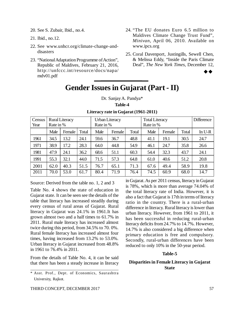- 20. See S. Zubair, Ibid., no.4.
- 21. Ibid., no.12.
- 22. See [www.unhcr.org/climate-change-and](http://www.unhcr.org/climate-change-and-)disasters
- 23. "National Adaptation Programme of Action", Republic of Maldives, February 21, 2016, http://unfccc.int/resource/docs/napa/ mdv01.pdf
- 24. "The EU donates Euro 6.5 million to Maldives Climate Change Trust Fund", *Minivan*, April 06, 2010. Available on [www.ipcs.org](http://www.ipcs.org)
- 25. Coral Davenport, Justingills, Sewell Chen, & Melissa Eddy, "Inside the Paris Climate Deal", *The New York Times*, December 12,



# **Gender Issues in Gujarat (Part - II)**

Dr. Sanjay A. Pandya\*

| Census<br>Year | Rate in % | <b>Rural Literacy</b> |       | Rate in % | <b>Urban Literacy</b> |       | <b>Total Literacy</b><br>Rate in % |        |       | <b>Difference</b> |
|----------------|-----------|-----------------------|-------|-----------|-----------------------|-------|------------------------------------|--------|-------|-------------------|
|                |           |                       |       |           |                       |       |                                    |        |       |                   |
|                | Male      | Female                | Total | Male      | Female                | Total | Male                               | Female | Total | In $U-R$          |
| 1961           | 34.5      | 13.2                  | 24.1  | 59.6      | 36.7                  | 48.8  | 41.1                               | 19.1   | 30.5  | 24.7              |
| 1971           | 38.9      | 17.2                  | 28.3  | 64.0      | 44.8                  | 54.9  | 46.1                               | 24.7   | 35.8  | 26.6              |
| 1981           | 47.9      | 24.1                  | 36.2  | 68.6      | 51.1                  | 60.3  | 54.4                               | 32.3   | 43.7  | 24.1              |
| 1991           | 55.3      | 32.1                  | 44.0  | 71.5      | 57.3                  | 64.8  | 61.0                               | 40.6   | 51.2  | 20.8              |
| 2001           | 62.0      | 40.3                  | 51.5  | 76.7      | 65.1                  | 71.3  | 67.6                               | 49.4   | 58.9  | 19.8              |
| 2011           | 70.0      | 53.0                  | 61.7  | 80.4      | 71.9                  | 76.4  | 74.5                               | 60.9   | 68.0  | 14.7              |

# **Table-4 Literacy rate in Gujarat (1961-2011)**

Source: Derived from the table no. 1, 2 and 3

Table No. 4 shows the state of education in Gujarat state. It can be seen see the details of the table that literacy has increased steadily during every census of rural areas of Gujarat. Rural literacy in Gujarat was 24.1% in 1961.It has grown almost two and a half times to 61.7% in 2011. Rural male literacy has increased almost twice during this period, from 34.5% to 70. 0%. Rural female literacy has increased almost four times, having increased from 13.2% to 53.0%. Urban literacy in Gujarat increased from 48.8% in 1961 to 76.4% in 2011.

From the details of Table No. 4, it can be said that there has been a steady increase in literacy is 78%, which is more than average 74.04% of the total literacy rate of India. However, it is also a fact that Gujarat is 17th in terms of literacy ratio in the country. There is a rural-urban difference in literacy. Rural literacy is lower than urban literacy. However, from 1961 to 2011, it has been successful in reducing rural-urban literacy deficits from 24.7% to 14.7%. However, 14.7% is also considered a big difference when primary education is free and compulsory. Secondly, rural-urban differences have been reduced to only 10% in the 50-year period.

in Gujarat. As per 2011 census, literacy in Gujarat

#### **Table-5**

### **Disparities in Female Literacy in Gujarat State**

<sup>\*</sup> Asst. Prof., Dept. of Economics, Saurashtra University, Rajkot.